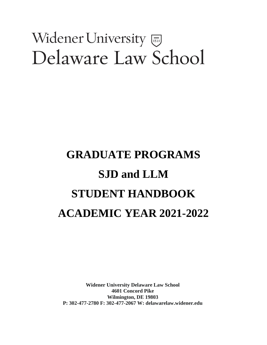# Widener University Delaware Law School

# **GRADUATE PROGRAMS SJD and LLM STUDENT HANDBOOK ACADEMIC YEAR 2021-2022**

**Widener University Delaware Law School 4601 Concord Pike Wilmington, DE 19803 P: 302-477-2780 F: 302-477-2067 W: delawarelaw.widener.edu**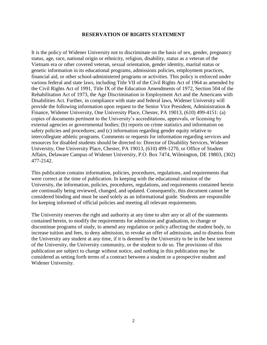#### **RESERVATION OF RIGHTS STATEMENT**

It is the policy of Widener University not to discriminate on the basis of sex, gender, pregnancy status, age, race, national origin or ethnicity, religion, disability, status as a veteran of the Vietnam era or other covered veteran, sexual orientation, gender identity, marital status or genetic information in its educational programs, admissions policies, employment practices, financial aid, or other school-administered programs or activities. This policy is enforced under various federal and state laws, including Title VII of the Civil Rights Act of 1964 as amended by the Civil Rights Act of 1991, Title IX of the Education Amendments of 1972, Section 504 of the Rehabilitation Act of 1973, the Age Discrimination in Employment Act and the Americans with Disabilities Act. Further, in compliance with state and federal laws, Widener University will provide the following information upon request to the Senior Vice President, Administration & Finance, Widener University, One University Place, Chester, PA 19013, (610) 499-4151: (a) copies of documents pertinent to the University's accreditations, approvals, or licensing by external agencies or governmental bodies; (b) reports on crime statistics and information on safety policies and procedures; and (c) information regarding gender equity relative to intercollegiate athletic programs. Comments or requests for information regarding services and resources for disabled students should be directed to: Director of Disability Services, Widener University, One University Place, Chester, PA 19013, (610) 499-1270, or Office of Student Affairs, Delaware Campus of Widener University, P.O. Box 7474, Wilmington, DE 19803, (302) 477-2142.

This publication contains information, policies, procedures, regulations, and requirements that were correct at the time of publication. In keeping with the educational mission of the University, the information, policies, procedures, regulations, and requirements contained herein are continually being reviewed, changed, and updated. Consequently, this document cannot be considered binding and must be used solely as an informational guide. Students are responsible for keeping informed of official policies and meeting all relevant requirements.

The University reserves the right and authority at any time to alter any or all of the statements contained herein, to modify the requirements for admission and graduation, to change or discontinue programs of study, to amend any regulation or policy affecting the student body, to increase tuition and fees, to deny admission, to revoke an offer of admission, and to dismiss from the University any student at any time, if it is deemed by the University to be in the best interest of the University, the University community, or the student to do so. The provisions of this publication are subject to change without notice, and nothing in this publication may be considered as setting forth terms of a contract between a student or a prospective student and Widener University.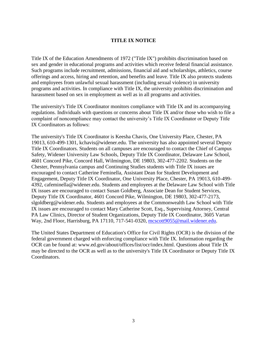## **TITLE IX NOTICE**

Title IX of the Education Amendments of 1972 ("Title IX") prohibits discrimination based on sex and gender in educational programs and activities which receive federal financial assistance. Such programs include recruitment, admissions, financial aid and scholarships, athletics, course offerings and access, hiring and retention, and benefits and leave. Title IX also protects students and employees from unlawful sexual harassment (including sexual violence) in university programs and activities. In compliance with Title IX, the university prohibits discrimination and harassment based on sex in employment as well as in all programs and activities.

The university's Title IX Coordinator monitors compliance with Title IX and its accompanying regulations. Individuals with questions or concerns about Title IX and/or those who wish to file a complaint of noncompliance may contact the university's Title IX Coordinator or Deputy Title IX Coordinators as follows:

The university's Title IX Coordinator is Keesha Chavis, One University Place, Chester, PA 19013, 610-499-1301, kchavis@widener.edu. The university has also appointed several Deputy Title IX Coordinators. Students on all campuses are encouraged to contact the Chief of Campus Safety, Widener University Law Schools, Deputy Title IX Coordinator, Delaware Law School, 4601 Concord Pike, Concord Hall, Wilmington, DE 19803, 302-477-2202. Students on the Chester, Pennsylvania campus and Continuing Studies students with Title IX issues are encouraged to contact Catherine Feminella, Assistant Dean for Student Development and Engagement, Deputy Title IX Coordinator, One University Place, Chester, PA 19013, 610-499- 4392, cafeminella@widener.edu. Students and employees at the Delaware Law School with Title IX issues are encouraged to contact Susan Goldberg, Associate Dean for Student Services, Deputy Title IX Coordinator, 4601 Concord Pike, Wilmington, DE 19803, 302-477-2173, slgoldberg@widener.edu. Students and employees at the Commonwealth Law School with Title IX issues are encouraged to contact Mary Catherine Scott, Esq., Supervising Attorney, Central PA Law Clinics, Director of Student Organizations, Deputy Title IX Coordinator, 3605 Vartan Way, 2nd Floor, Harrisburg, PA 17110, 717-541-0320, [mcscott9055@mail.widener.edu.](mailto:mcscott9055@mail.widener.edu)

The United States Department of Education's Office for Civil Rights (OCR) is the division of the federal government charged with enforcing compliance with Title IX. Information regarding the OCR can be found at: www.ed.gov/about/offices/list/ocr/index.html. Questions about Title IX may be directed to the OCR as well as to the university's Title IX Coordinator or Deputy Title IX Coordinators.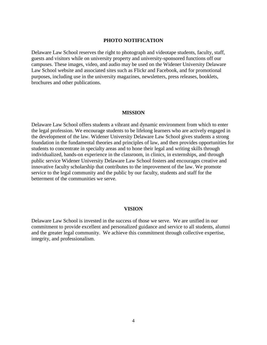#### **PHOTO NOTIFICATION**

Delaware Law School reserves the right to photograph and videotape students, faculty, staff, guests and visitors while on university property and university-sponsored functions off our campuses. These images, video, and audio may be used on the Widener University Delaware Law School website and associated sites such as Flickr and Facebook, and for promotional purposes, including use in the university magazines, newsletters, press releases, booklets, brochures and other publications.

#### **MISSION**

Delaware Law School offers students a vibrant and dynamic environment from which to enter the legal profession. We encourage students to be lifelong learners who are actively engaged in the development of the law. Widener University Delaware Law School gives students a strong foundation in the fundamental theories and principles of law, and then provides opportunities for students to concentrate in specialty areas and to hone their legal and writing skills through individualized, hands-on experience in the classroom, in [clinics,](http://law.widener.edu/Academics/ClinicalProgramsandProfessionalTraining/Clinics.aspx) in [externships,](http://law.widener.edu/Academics/ClinicalProgramsandProfessionalTraining/Externships.aspx) and through [public service](http://law.widener.edu/Academics/ClinicalProgramsandProfessionalTraining/PublicInterestOpportunities.aspx) Widener University Delaware Law School fosters and encourages creative and innovative [faculty scholarship t](http://law.widener.edu/Academics/Faculty.aspx)hat contributes to the improvement of the law. We promote service to the legal community and the public by our faculty, students and staff for the betterment of the communities we serve.

#### **VISION**

Delaware Law School is invested in the success of those we serve. We are unified in our commitment to provide excellent and personalized guidance and service to all students, alumni and the greater legal community. We achieve this commitment through collective expertise, integrity, and professionalism.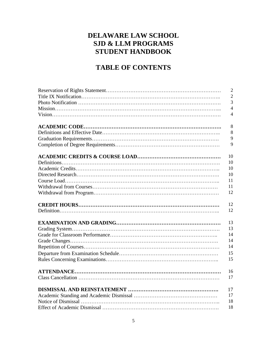## **DELAWARE LAW SCHOOL SJD & LLM PROGRAMS STUDENT HANDBOOK**

# **TABLE OF CONTENTS**

| $\overline{2}$ |
|----------------|
| $\overline{2}$ |
| $\overline{3}$ |
| $\overline{4}$ |
| $\overline{4}$ |
|                |
| 8              |
| 8              |
| 9              |
| 9              |
| 10             |
| 10             |
| 10             |
| 10             |
| 11             |
| 11             |
| 12             |
| 12             |
| 12             |
|                |
| 13             |
| 13             |
| 14             |
| 14             |
| 14             |
| 15             |
| 15             |
| 16             |
| 17             |
|                |
| 17             |
| 17             |
| 18             |
| 18             |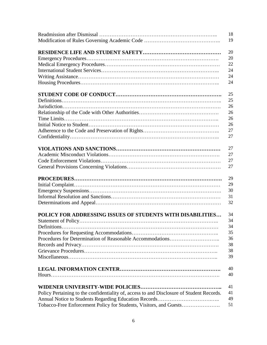|                                                                                           | 18 |
|-------------------------------------------------------------------------------------------|----|
|                                                                                           | 19 |
|                                                                                           |    |
|                                                                                           | 20 |
|                                                                                           | 20 |
|                                                                                           | 22 |
|                                                                                           | 24 |
|                                                                                           | 24 |
|                                                                                           | 24 |
|                                                                                           | 25 |
|                                                                                           | 25 |
|                                                                                           | 26 |
|                                                                                           | 26 |
|                                                                                           | 26 |
|                                                                                           | 26 |
|                                                                                           |    |
|                                                                                           | 27 |
|                                                                                           | 27 |
|                                                                                           | 27 |
|                                                                                           | 27 |
|                                                                                           | 27 |
|                                                                                           | 27 |
|                                                                                           |    |
|                                                                                           | 29 |
|                                                                                           | 29 |
|                                                                                           | 30 |
|                                                                                           | 31 |
|                                                                                           | 32 |
|                                                                                           |    |
| POLICY FOR ADDRESSING ISSUES OF STUDENTS WITH DISABILITIES                                | 34 |
|                                                                                           | 34 |
|                                                                                           | 34 |
|                                                                                           |    |
|                                                                                           | 35 |
|                                                                                           | 36 |
|                                                                                           | 38 |
|                                                                                           | 38 |
|                                                                                           | 39 |
|                                                                                           | 40 |
|                                                                                           | 40 |
|                                                                                           |    |
|                                                                                           | 41 |
| Policy Pertaining to the confidentiality of, access to and Disclosure of Student Records. | 41 |
|                                                                                           | 49 |
| Tobacco-Free Enforcement Policy for Students, Visitors, and Guests                        | 51 |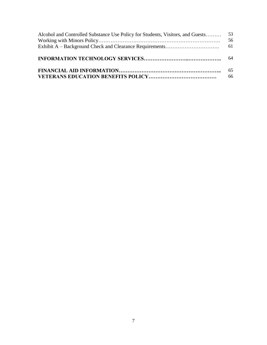| Alcohol and Controlled Substance Use Policy for Students, Visitors, and Guests | 53 |
|--------------------------------------------------------------------------------|----|
|                                                                                | 56 |
|                                                                                |    |
|                                                                                |    |
|                                                                                | 65 |
|                                                                                | 66 |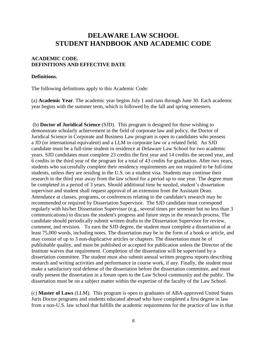## **DELAWARE LAW SCHOOL STUDENT HANDBOOK AND ACADEMIC CODE**

#### **ACADEMIC CODE. DEFINITIONS AND EFFECTIVE DATE**

#### **Definitions.**

The following definitions apply to this Academic Code:

(a) **Academic Year**. The academic year begins July 1 and runs through June 30. Each academic year begins with the summer term, which is followed by the fall and spring semesters.

(b) **Doctor of Juridical Science** (SJD). This program is designed for those wishing to demonstrate scholarly achievement in the field of corporate law and policy, the Doctor of Juridical Science in Corporate and Business Law program is open to candidates who possess a JD (or international equivalent) and a LLM in corporate law or a related field. An SJD candidate must be a full-time student in residence at Delaware Law School for two academic years. SJD candidates must complete 23 credits the first year and 14 credits the second year, and 6 credits in the third year of the program for a total of 43 credits for graduation. After two years, students who successfully complete their residency requirements are not required to be full-time students, unless they are residing in the U.S. on a student visa. Students may continue their research in the third year away from the law school for a period up to one year. The degree must be completed in a period of 3 years. Should additional time be needed, student's dissertation supervisor and student shall request approval of an extension from the Assistant Dean. Attendance at classes, programs, or conferences relating to the candidate's research may be recommended or required by Dissertation Supervisor. The SJD candidate must correspond regularly with his/her Dissertation Supervisor (e.g., several times per semester but no less than 3 communications) to discuss the student's progress and future steps in the research process. The candidate should periodically submit written drafts to the Dissertation Supervisor for review, comment, and revision. To earn the SJD degree, the student must complete a dissertation of at least 75,000 words, including notes. The dissertation may be in the form of a book or article, and may consist of up to 3 non-duplicative articles or chapters. The dissertation must be of publishable quality, and must be published or accepted for publication unless the Director of the Institute waives that requirement. Completion of the dissertation will be supervised by a dissertation committee. The student must also submit annual written progress reports describing research and writing activities and performance in course work, if any. Finally, the student must make a satisfactory oral defense of the dissertation before the dissertation committee, and must orally present the dissertation in a forum open to the Law School community and the public. The dissertation must be on a subject matter within the expertise of the faculty of the Law School.

(c) **Master of Laws** (LLM). This program is open to graduates of ABA-approved United States Juris Doctor programs and students educated abroad who have completed a first degree in law from a non-U.S. law school that fulfills the academic requirements for the practice of law in that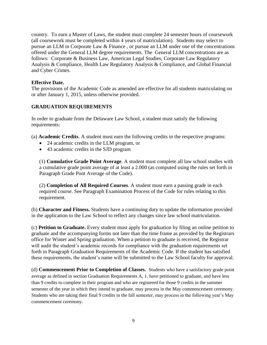country. To earn a Master of Laws, the student must complete 24 semester hours of coursework (all coursework must be completed within 4 years of matriculation). Students may select to pursue an LLM in Corporate Law & Finance , or pursue an LLM under one of the concentrations offered under the General LLM degree requirements. The General LLM concentrations are as follows: Corporate & Business Law, American Legal Studies, Corporate Law Regulatory Analysis & Compliance, Health Law Regulatory Analysis & Compliance, and Global Financial and Cyber Crimes.

## **Effective Date.**

The provisions of the Academic Code as amended are effective for all students matriculating on or after January 1, 2015, unless otherwise provided.

## **GRADUATION REQUIREMENTS**

In order to graduate from the Delaware Law School, a student must satisfy the following requirements:

(a) **Academic Credits**. A student must earn the following credits in the respective programs:

- 24 academic credits in the LLM program, or
- 43 academic credits in the SJD program

(1) **Cumulative Grade Point Average**. A student must complete all law school studies with a cumulative grade point average of at least a 2.000 (as computed using the rules set forth in Paragraph Grade Pont Average of the Code).

(2) **Completion of All Required Courses**. A student must earn a passing grade in each required course. See Paragraph Examination Process of the Code for rules relating to this requirement.

(b) **Character and Fitness.** Students have a continuing duty to update the information provided in the application to the Law School to reflect any changes since law school matriculation.

(c) **Petition to Graduate.** Every student must apply for graduation by filing an online petition to graduate and the accompanying forms not later than the time frame as provided by the Registrars office for Winter and Spring graduation. When a petition to graduate is received, the Registrar will audit the student's academic records for compliance with the graduation requirements set forth in Paragraph Graduation Requirements of the Academic Code. If the student has satisfied these requirements, the student's name will be submitted to the Law School faculty for approval.

(d) **Commencement Prior to Completion of Classes.** Students who have a satisfactory grade point average as defined in section Graduation Requirements A, 1, have petitioned to graduate, and have less than 9 credits to complete in their program and who are registered for those 9 credits in the summer semester of the year in which they intend to graduate, may process in the May commencement ceremony. Students who are taking their final 9 credits in the fall semester, may process in the following year's May commencement ceremony.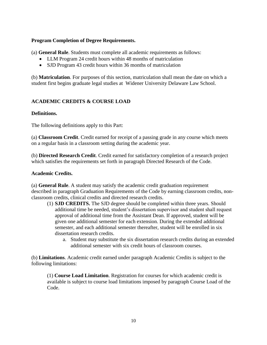## **Program Completion of Degree Requirements.**

(a) **General Rule**. Students must complete all academic requirements as follows:

- LLM Program 24 credit hours within 48 months of matriculation
- SJD Program 43 credit hours within 36 months of matriculation

(b) **Matriculation**. For purposes of this section, matriculation shall mean the date on which a student first begins graduate legal studies at Widener University Delaware Law School.

## **ACADEMIC CREDITS & COURSE LOAD**

## **Definitions.**

The following definitions apply to this Part:

(a) **Classroom Credit**. Credit earned for receipt of a passing grade in any course which meets on a regular basis in a classroom setting during the academic year.

(b) **Directed Research Credit**. Credit earned for satisfactory completion of a research project which satisfies the requirements set forth in paragraph Directed Research of the Code.

### **Academic Credits.**

(a) **General Rule**. A student may satisfy the academic credit graduation requirement described in paragraph Graduation Requirements of the Code by earning classroom credits, nonclassroom credits, clinical credits and directed research credits.

- (1) **SJD CREDITS.** The SJD degree should be completed within three years. Should additional time be needed, student's dissertation supervisor and student shall request approval of additional time from the Assistant Dean. If approved, student will be given one additional semester for each extension. During the extended additional semester, and each additional semester thereafter, student will be enrolled in six dissertation research credits.
	- a. Student may substitute the six dissertation research credits during an extended additional semester with six credit hours of classroom courses.

(b) **Limitations**. Academic credit earned under paragraph Academic Credits is subject to the following limitations:

(1) **Course Load Limitation**. Registration for courses for which academic credit is available is subject to course load limitations imposed by paragraph Course Load of the Code.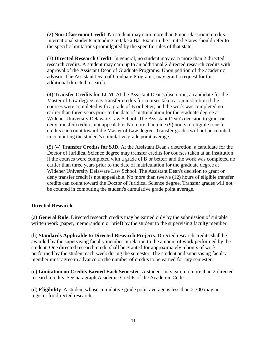(2) **Non-Classroom Credit**. No student may earn more than 8 non-classroom credits. International students intending to take a Bar Exam in the United States should refer to the specific limitations promulgated by the specific rules of that state.

(3) **Directed Research Credit**. In general, no student may earn more than 2 directed research credits. A student may earn up to an additional 2 directed research credits with approval of the Assistant Dean of Graduate Programs. Upon petition of the academic advisor, The Assistant Dean of Graduate Programs, may grant a request for this additional directed research.

(4) **Transfer Credits for LLM**. At the Assistant Dean's discretion, a candidate for the Master of Law degree may transfer credits for courses taken at an institution if the courses were completed with a grade of B or better; and the work was completed no earlier than three years prior to the date of matriculation for the graduate degree at Widener University Delaware Law School. The Assistant Dean's decision to grant or deny transfer credit is not appealable. No more than nine (9) hours of eligible transfer credits can count toward the Master of Law degree. Transfer grades will not be counted in computing the student's cumulative grade point average.

(5) (4) **Transfer Credits for SJD.** At the Assistant Dean's discretion, a candidate for the Doctor of Juridical Science degree may transfer credits for courses taken at an institution if the courses were completed with a grade of B or better; and the work was completed no earlier than three years prior to the date of matriculation for the graduate degree at Widener University Delaware Law School. The Assistant Dean's decision to grant or deny transfer credit is not appealable. No more than twelve (12) hours of eligible transfer credits can count toward the Doctor of Juridical Science degree. Transfer grades will not be counted in computing the student's cumulative grade point average.

## **Directed Research.**

(a) **General Rule**. Directed research credits may be earned only by the submission of suitable written work (paper, memorandum or brief) by the student to the supervising faculty member.

(b) **Standards Applicable to Directed Research Projects**. Directed research credits shall be awarded by the supervising faculty member in relation to the amount of work performed by the student. One directed research credit shall be granted for approximately 5 hours of work performed by the student each week during the semester. The student and supervising faculty member must agree in advance on the number of credits to be earned for any semester.

(c) **Limitation on Credits Earned Each Semester**. A student may earn no more than 2 directed research credits. See paragraph Academic Credits of the Academic Code.

(d) **Eligibility**. A student whose cumulative grade point average is less than 2.300 may not register for directed research.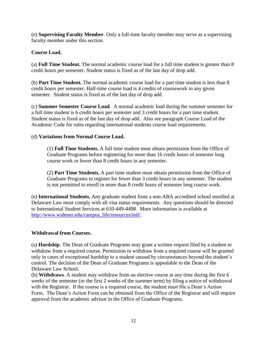(e) **Supervising Faculty Member**. Only a full-time faculty member may serve as a supervising faculty member under this section.

## **Course Load.**

(a) **Full Time Student.** The normal academic course load for a full time student is greater than 8 credit hours per semester. Student status is fixed as of the last day of drop add.

(b) **Part Time Student.** The normal academic course load for a part time student is less than 8 credit hours per semester. Half-time course load is 4 credits of coursework in any given semester. Student status is fixed as of the last day of drop add.

(c) **Summer Semester Course Load**. A normal academic load during the summer semester for a full time student is 6 credit hours per semester and 3 credit hours for a part time student. Student status is fixed as of the last day of drop add. Also see paragraph Course Load of the Academic Code for rules regarding international students course load requirements.

## (d) **Variations from Normal Course Load.**

(1) **Full Time Students.** A full time student must obtain permission from the Office of Graduate Programs before registering for more than 16 credit hours of semester long course work or fewer than 8 credit hours in any semester.

(2) **Part Time Students.** A part time student must obtain permission from the Office of Graduate Programs to register for fewer than 3 credit hours in any semester. The student is not permitted to enroll in more than 8 credit hours of semester long course work.

(e) **International Students.** Any graduate student from a non-ABA accredited school enrolled at Delaware Law must comply with all visa status requirements. Any questions should be directed to International Student Services at 610-449-4498. More information is available at [http://www.widener.edu/campus\\_life/resources/intl/.](http://www.widener.edu/campus_life/resources/intl/)

## **Withdrawal from Courses.**

(a) **Hardship**. The Dean of Graduate Programs may grant a written request filed by a student to withdraw from a required course. Permission to withdraw from a required course will be granted only in cases of exceptional hardship to a student caused by circumstances beyond the student's control. The decision of the Dean of Graduate Programs is appealable to the Dean of the Delaware Law School.

(b) **Withdraws**. A student may withdraw from an elective course at any time during the first 6 weeks of the semester (or the first 2 weeks of the summer term) by filing a notice of withdrawal with the Registrar. If the course is a required course, the student must file a Dean's Action Form. The Dean's Action Form can be obtained from the Office of the Registrar and will require approval from the academic advisor in the Office of Graduate Programs.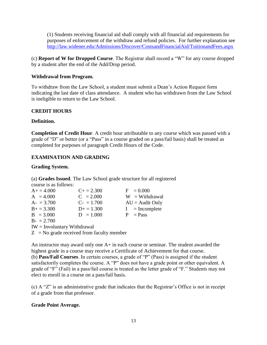(1) Students receiving financial aid shall comply with all financial aid requirements for purposes of enforcement of the withdraw and refund policies. For further explanation see <http://law.widener.edu/Admissions/Discover/CostsandFinancialAid/TuitionandFees.aspx>

(c) **Report of W for Dropped Course**. The Registrar shall record a "W" for any course dropped by a student after the end of the Add/Drop period.

## **Withdrawal from Program.**

To withdraw from the Law School, a student must submit a Dean's Action Request form indicating the last date of class attendance. A student who has withdrawn from the Law School is ineligible to return to the Law School.

## **CREDIT HOURS**

## **Definition.**

**Completion of Credit Hour**. A credit hour attributable to any course which was passed with a grade of "D" or better (or a "Pass" in a course graded on a pass/fail basis) shall be treated as completed for purposes of paragraph Credit Hours of the Code.

## **EXAMINATION AND GRADING**

## **Grading System.**

(a) **Grades Issued**. The Law School grade structure for all registered course is as follows:

| $\omega$ and $\omega$ as to the $\omega$ . |             |                   |
|--------------------------------------------|-------------|-------------------|
| $A+=4.000$                                 | $C+=2.300$  | $F = 0.000$       |
| $A = 4.000$                                | $C = 2.000$ | $W = With drawn$  |
| $A = 3.700$                                | $C = 1.700$ | $AU =$ Audit Only |
| $B+=3.300$                                 | $D+=1.300$  | $I = Incomplete$  |
| $B = 3.000$                                | $D = 1.000$ | $P = Pass$        |
| $B - 2.700$                                |             |                   |
| $\mathbf{r}$                               |             |                   |

IW = Involuntary Withdrawal

 $Z = No$  grade received from faculty member

An instructor may award only one A+ in each course or seminar. The student awarded the highest grade in a course may receive a Certificate of Achievement for that course. (b) **Pass/Fail Courses**. In certain courses, a grade of "P" (Pass) is assigned if the student satisfactorily completes the course. A "P" does not have a grade point or other equivalent. A grade of "F" (Fail) in a pass/fail course is treated as the letter grade of "F." Students may not elect to enroll in a course on a pass/fail basis.

(c) A "Z" is an administrative grade that indicates that the Registrar's Office is not in receipt of a grade from that professor.

## **Grade Point Average.**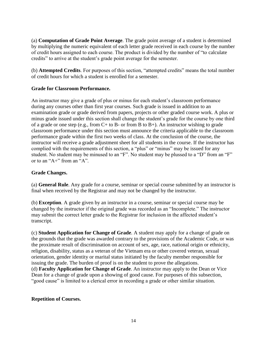(a) **Computation of Grade Point Average**. The grade point average of a student is determined by multiplying the numeric equivalent of each letter grade received in each course by the number of credit hours assigned to each course. The product is divided by the number of "to calculate credits" to arrive at the student's grade point average for the semester.

(b) **Attempted Credits**. For purposes of this section, "attempted credits" means the total number of credit hours for which a student is enrolled for a semester.

## **Grade for Classroom Performance.**

An instructor may give a grade of plus or minus for each student's classroom performance during any courses other than first year courses. Such grade is issued in addition to an examination grade or grade derived from papers, projects or other graded course work. A plus or minus grade issued under this section shall change the student's grade for the course by one third of a grade or one step (e.g., from  $C+$  to  $B-$  or from B to  $B+$ ). An instructor wishing to grade classroom performance under this section must announce the criteria applicable to the classroom performance grade within the first two weeks of class. At the conclusion of the course, the instructor will receive a grade adjustment sheet for all students in the course. If the instructor has complied with the requirements of this section, a "plus" or "minus" may be issued for any student. No student may be minused to an "F". No student may be plussed to a "D" from an "F" or to an " $A$ <sup>+"</sup> from an " $A$ ".

## **Grade Changes.**

(a) **General Rule**. Any grade for a course, seminar or special course submitted by an instructor is final when received by the Registrar and may not be changed by the instructor.

(b) **Exception**. A grade given by an instructor in a course, seminar or special course may be changed by the instructor if the original grade was recorded as an "Incomplete." The instructor may submit the correct letter grade to the Registrar for inclusion in the affected student's transcript.

(c) **Student Application for Change of Grade**. A student may apply for a change of grade on the grounds that the grade was awarded contrary to the provisions of the Academic Code, or was the proximate result of discrimination on account of sex, age, race, national origin or ethnicity, religion, disability, status as a veteran of the Vietnam era or other covered veteran, sexual orientation, gender identity or marital status initiated by the faculty member responsible for issuing the grade. The burden of proof is on the student to prove the allegations. (d) **Faculty Application for Change of Grade**. An instructor may apply to the Dean or Vice Dean for a change of grade upon a showing of good cause. For purposes of this subsection, "good cause" is limited to a clerical error in recording a grade or other similar situation.

## **Repetition of Courses.**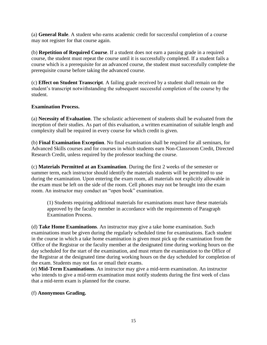(a) **General Rule**. A student who earns academic credit for successful completion of a course may not register for that course again.

(b) **Repetition of Required Course**. If a student does not earn a passing grade in a required course, the student must repeat the course until it is successfully completed. If a student fails a course which is a prerequisite for an advanced course, the student must successfully complete the prerequisite course before taking the advanced course.

(c) **Effect on Student Transcript**. A failing grade received by a student shall remain on the student's transcript notwithstanding the subsequent successful completion of the course by the student.

## **Examination Process.**

(a) **Necessity of Evaluation**. The scholastic achievement of students shall be evaluated from the inception of their studies. As part of this evaluation, a written examination of suitable length and complexity shall be required in every course for which credit is given.

(b) **Final Examination Exception**. No final examination shall be required for all seminars, for Advanced Skills courses and for courses in which students earn Non-Classroom Credit, Directed Research Credit, unless required by the professor teaching the course.

(c) **Materials Permitted at an Examination**. During the first 2 weeks of the semester or summer term, each instructor should identify the materials students will be permitted to use during the examination. Upon entering the exam room, all materials not explicitly allowable in the exam must be left on the side of the room. Cell phones may not be brought into the exam room. An instructor may conduct an "open book" examination.

(1) Students requiring additional materials for examinations must have these materials approved by the faculty member in accordance with the requirements of Paragraph Examination Process.

(d) **Take Home Examinations**. An instructor may give a take home examination. Such examinations must be given during the regularly scheduled time for examinations. Each student in the course in which a take home examination is given must pick up the examination from the Office of the Registrar or the faculty member at the designated time during working hours on the day scheduled for the start of the examination, and must return the examination to the Office of the Registrar at the designated time during working hours on the day scheduled for completion of the exam. Students may not fax or email their exams.

(e) **Mid-Term Examinations**. An instructor may give a mid-term examination. An instructor who intends to give a mid-term examination must notify students during the first week of class that a mid-term exam is planned for the course.

#### (f) **Anonymous Grading.**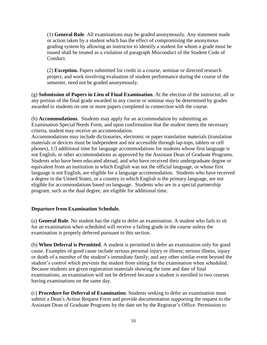(1) **General Rule**. All examinations may be graded anonymously. Any statement made or action taken by a student which has the effect of compromising the anonymous grading system by allowing an instructor to identify a student for whom a grade must be issued shall be treated as a violation of paragraph Misconduct of the Student Code of Conduct.

(2) **Exception.** Papers submitted for credit in a course, seminar or directed research project, and work involving evaluation of student performance during the course of the semester, need not be graded anonymously.

(g) **Submission of Papers in Lieu of Final Examination**. At the election of the instructor, all or any portion of the final grade awarded in any course or seminar may be determined by grades awarded to students on one or more papers completed in connection with the course.

(h) **Accommodations**. Students may apply for an accommodation by submitting an Examination Special Needs Form, and upon confirmation that the student meets the necessary criteria, student may receive an accommodation.

Accommodations may include dictionaries, electronic or paper translation materials (translation materials or devices must be independent and not accessible through lap-tops, tablets or cell phones), 1/3 additional time for language accommodations for students whose first language is not English, or other accommodations as approved by the Assistant Dean of Graduate Programs. Students who have been educated abroad, and who have received their undergraduate degree or equivalent from an institution in which English was not the official language, or whose first language is not English, are eligible for a language accommodation. Students who have received a degree in the United States, or a country in which English is the primary language, are not eligible for accommodations based on language. Students who are in a special partnership program, such as the dual degree, are eligible for additional time.

#### **Departure from Examination Schedule.**

(a) **General Rule**. No student has the right to defer an examination. A student who fails to sit for an examination when scheduled will receive a failing grade in the course unless the examination is properly deferred pursuant to this section.

(b) **When Deferral is Permitted**. A student is permitted to defer an examination only for good cause. Examples of good cause include serious personal injury or illness; serious illness, injury or death of a member of the student's immediate family; and any other similar event beyond the student's control which prevents the student from sitting for the examination when scheduled. Because students are given registration materials showing the time and date of final examinations, an examination will not be deferred because a student is enrolled in two courses having examinations on the same day.

(c) **Procedure for Deferral of Examination**. Students seeking to defer an examination must submit a Dean's Action Request Form and provide documentation supporting the request to the Assistant Dean of Graduate Programs by the date set by the Registrar's Office. Permission to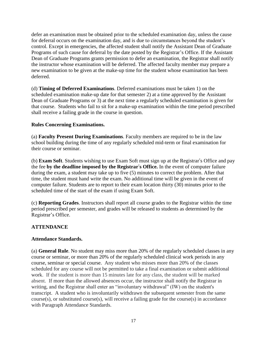defer an examination must be obtained prior to the scheduled examination day, unless the cause for deferral occurs on the examination day, and is due to circumstances beyond the student's control. Except in emergencies, the affected student shall notify the Assistant Dean of Graduate Programs of such cause for deferral by the date posted by the Registrar's Office. If the Assistant Dean of Graduate Programs grants permission to defer an examination, the Registrar shall notify the instructor whose examination will be deferred. The affected faculty member may prepare a new examination to be given at the make-up time for the student whose examination has been deferred.

(d) **Timing of Deferred Examinations**. Deferred examinations must be taken 1) on the scheduled examination make-up date for that semester 2) at a time approved by the Assistant Dean of Graduate Programs or 3) at the next time a regularly scheduled examination is given for that course. Students who fail to sit for a make-up examination within the time period prescribed shall receive a failing grade in the course in question.

## **Rules Concerning Examinations.**

(a) **Faculty Present During Examinations**. Faculty members are required to be in the law school building during the time of any regularly scheduled mid-term or final examination for their course or seminar.

(b) **Exam Soft**. Students wishing to use Exam Soft must sign up at the Registrar's Office and pay the fee **by the deadline imposed by the Registrar**'**s Office.** In the event of computer failure during the exam, a student may take up to five (5) minutes to correct the problem. After that time, the student must hand write the exam. No additional time will be given in the event of computer failure. Students are to report to their exam location thirty (30) minutes prior to the scheduled time of the start of the exam if using Exam Soft.

(c) **Reporting Grades**. Instructors shall report all course grades to the Registrar within the time period prescribed per semester, and grades will be released to students as determined by the Registrar's Office.

## **ATTENDANCE**

## **Attendance Standards.**

(a) **General Rule**. No student may miss more than 20% of the regularly scheduled classes in any course or seminar, or more than 20% of the regularly scheduled clinical work periods in any course, seminar or special course. Any student who misses more than 20% of the classes scheduled for any course will not be permitted to take a final examination or submit additional work. If the student is more than 15 minutes late for any class, the student will be marked absent. If more than the allowed absences occur, the instructor shall notify the Registrar in writing, and the Registrar shall enter an "involuntary withdrawal" (IW) on the student's transcript. A student who is involuntarily withdrawn the subsequent semester from the same course(s), or substituted course(s), will receive a failing grade for the course(s) in accordance with Paragraph Attendance Standards.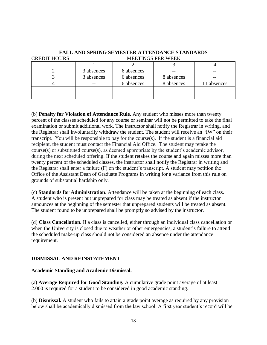**FALL AND SPRING SEMESTER ATTENDANCE STANDARDS** 

LEEEMAA DED WEEK

| CREDII HOURS | MEETINGS PER WEEK |            |            |             |
|--------------|-------------------|------------|------------|-------------|
|              |                   |            |            |             |
|              | 3 absences        | 6 absences | --         |             |
|              | 3 absences        | 6 absences | 8 absences |             |
|              |                   | 6 absences | 8 absences | 11 absences |
|              |                   |            |            |             |
|              |                   |            |            |             |

(b) **Penalty for Violation of Attendance Rule**. Any student who misses more than twenty percent of the classes scheduled for any course or seminar will not be permitted to take the final examination or submit additional work. The instructor shall notify the Registrar in writing, and the Registrar shall involuntarily withdraw the student. The student will receive an "IW" on their transcript. You will be responsible to pay for the course(s). If the student is a financial aid recipient, the student must contact the Financial Aid Office. The student may retake the  $course(s)$  or substituted course $(s)$ , as deemed appropriate by the student's academic advisor, during the next scheduled offering. If the student retakes the course and again misses more than twenty percent of the scheduled classes, the instructor shall notify the Registrar in writing and the Registrar shall enter a failure (F) on the student's transcript. A student may petition the Office of the Assistant Dean of Graduate Programs in writing for a variance from this rule on grounds of substantial hardship only.

(c) **Standards for Administration**. Attendance will be taken at the beginning of each class. A student who is present but unprepared for class may be treated as absent if the instructor announces at the beginning of the semester that unprepared students will be treated as absent. The student found to be unprepared shall be promptly so advised by the instructor.

(d) **Class Cancellation.** If a class is cancelled, either through an individual class cancellation or when the University is closed due to weather or other emergencies, a student's failure to attend the scheduled make-up class should not be considered an absence under the attendance requirement.

## **DISMISSAL AND REINSTATEMENT**

## **Academic Standing and Academic Dismissal.**

(a) **Average Required for Good Standing.** A cumulative grade point average of at least 2.000 is required for a student to be considered in good academic standing.

(b) **Dismissal.** A student who fails to attain a grade point average as required by any provision below shall be academically dismissed from the law school. A first year student's record will be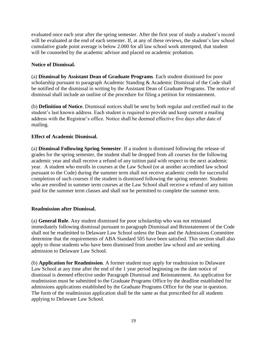evaluated once each year after the spring semester. After the first year of study a student's record will be evaluated at the end of each semester. If, at any of these reviews, the student's law school cumulative grade point average is below 2.000 for all law school work attempted, that student will be counseled by the academic advisor and placed on academic probation.

## **Notice of Dismissal.**

(a) **Dismissal by Assistant Dean of Graduate Programs**. Each student dismissed for poor scholarship pursuant to paragraph Academic Standing & Academic Dismissal of the Code shall be notified of the dismissal in writing by the Assistant Dean of Graduate Programs. The notice of dismissal shall include an outline of the procedure for filing a petition for reinstatement.

(b) **Definition of Notice**. Dismissal notices shall be sent by both regular and certified mail to the student's last known address. Each student is required to provide and keep current a mailing address with the Registrar's office. Notice shall be deemed effective five days after date of mailing.

## **Effect of Academic Dismissal.**

(a) **Dismissal Following Spring Semester**. If a student is dismissed following the release of grades for the spring semester, the student shall be dropped from all courses for the following academic year and shall receive a refund of any tuition paid with respect to the next academic year. A student who enrolls in courses at the Law School (or at another accredited law school pursuant to the Code) during the summer term shall not receive academic credit for successful completion of such courses if the student is dismissed following the spring semester. Students who are enrolled in summer term courses at the Law School shall receive a refund of any tuition paid for the summer term classes and shall not be permitted to complete the summer term.

## **Readmission after Dismissal.**

(a) **General Rule**. Any student dismissed for poor scholarship who was not reinstated immediately following dismissal pursuant to paragraph Dismissal and Reinstatement of the Code shall not be readmitted to Delaware Law School unless the Dean and the Admissions Committee determine that the requirements of ABA Standard 505 have been satisfied. This section shall also apply to those students who have been dismissed from another law school and are seeking admission to Delaware Law School.

(b) **Application for Readmission**. A former student may apply for readmission to Delaware Law School at any time after the end of the 1 year period beginning on the date notice of dismissal is deemed effective under Paragraph Dismissal and Reinstatement. An application for readmission must be submitted to the Graduate Programs Office by the deadline established for admissions applications established by the Graduate Programs Office for the year in question. The form of the readmission application shall be the same as that prescribed for all students applying to Delaware Law School.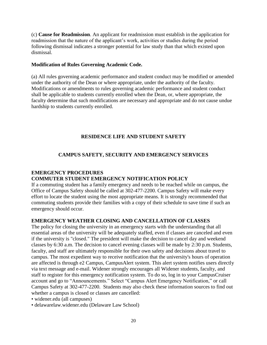(c) **Cause for Readmission**. An applicant for readmission must establish in the application for readmission that the nature of the applicant's work, activities or studies during the period following dismissal indicates a stronger potential for law study than that which existed upon dismissal.

## **Modification of Rules Governing Academic Code.**

(a) All rules governing academic performance and student conduct may be modified or amended under the authority of the Dean or where appropriate, under the authority of the faculty. Modifications or amendments to rules governing academic performance and student conduct shall be applicable to students currently enrolled when the Dean, or, where appropriate, the faculty determine that such modifications are necessary and appropriate and do not cause undue hardship to students currently enrolled.

## **RESIDENCE LIFE AND STUDENT SAFETY**

## **CAMPUS SAFETY, SECURITY AND EMERGENCY SERVICES**

## **EMERGENCY PROCEDURES COMMUTER STUDENT EMERGENCY NOTIFICATION POLICY**

If a commuting student has a family emergency and needs to be reached while on campus, the Office of Campus Safety should be called at 302-477-2200. Campus Safety will make every effort to locate the student using the most appropriate means. It is strongly recommended that commuting students provide their families with a copy of their schedule to save time if such an emergency should occur.

## **EMERGENCY WEATHER CLOSING AND CANCELLATION OF CLASSES**

The policy for closing the university in an emergency starts with the understanding that all essential areas of the university will be adequately staffed, even if classes are canceled and even if the university is "closed." The president will make the decision to cancel day and weekend classes by 6:30 a.m. The decision to cancel evening classes will be made by 2:30 p.m. Students, faculty, and staff are ultimately responsible for their own safety and decisions about travel to campus. The most expedient way to receive notification that the university's hours of operation are affected is through e2 Campus, CampusAlert system. This alert system notifies users directly via text message and e-mail. Widener strongly encourages all Widener students, faculty, and staff to register for this emergency notification system. To do so, log in to your CampusCruiser account and go to "Announcements." Select "Campus Alert Emergency Notification," or call Campus Safety at 302-477-2200. Students may also check these information sources to find out whether a campus is closed or classes are cancelled:

• widener.edu (all campuses)

• delawarelaw.widener.edu (Delaware Law School)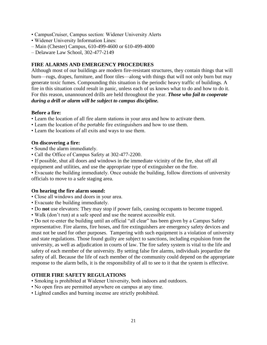- CampusCruiser, Campus section: Widener University Alerts
- Widener University Information Lines:
- Main (Chester) Campus, 610-499-4600 or 610-499-4000
- Delaware Law School, 302-477-2149

## **FIRE ALARMS AND EMERGENCY PROCEDURES**

Although most of our buildings are modern fire-resistant structures, they contain things that will burn—rugs, drapes, furniture, and floor tiles—along with things that will not only burn but may generate toxic fumes. Compounding this situation is the periodic heavy traffic of buildings. A fire in this situation could result in panic, unless each of us knows what to do and how to do it. For this reason, unannounced drills are held throughout the year. *Those who fail to cooperate during a drill or alarm will be subject to campus discipline.*

#### **Before a fire:**

- Learn the location of all fire alarm stations in your area and how to activate them.
- Learn the location of the portable fire extinguishers and how to use them.
- Learn the locations of all exits and ways to use them.

#### **On discovering a fire:**

- Sound the alarm immediately.
- Call the Office of Campus Safety at 302-477-2200.
- If possible, shut all doors and windows in the immediate vicinity of the fire, shut off all equipment and utilities, and use the appropriate type of extinguisher on the fire.

• Evacuate the building immediately. Once outside the building, follow directions of university officials to move to a safe staging area.

#### **On hearing the fire alarm sound:**

- Close all windows and doors in your area.
- Evacuate the building immediately.
- Do **not** use elevators: They may stop if power fails, causing occupants to become trapped.
- Walk (don't run) at a safe speed and use the nearest accessible exit.

• Do not re-enter the building until an official "all clear" has been given by a Campus Safety representative. Fire alarms, fire hoses, and fire extinguishers are emergency safety devices and must not be used for other purposes. Tampering with such equipment is a violation of university and state regulations. Those found guilty are subject to sanctions, including expulsion from the university, as well as adjudication in courts of law. The fire safety system is vital to the life and safety of each member of the university. By setting false fire alarms, individuals jeopardize the safety of all. Because the life of each member of the community could depend on the appropriate response to the alarm bells, it is the responsibility of all to see to it that the system is effective.

#### **OTHER FIRE SAFETY REGULATIONS**

- Smoking is prohibited at Widener University, both indoors and outdoors.
- No open fires are permitted anywhere on campus at any time.
- Lighted candles and burning incense are strictly prohibited.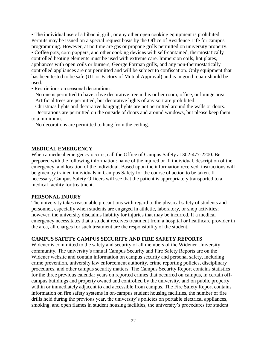• The individual use of a hibachi, grill, or any other open cooking equipment is prohibited. Permits may be issued on a special request basis by the Office of Residence Life for campus programming. However, at no time are gas or propane grills permitted on university property. • Coffee pots, corn poppers, and other cooking devices with self-contained, thermostatically controlled heating elements must be used with extreme care. Immersion coils, hot plates, appliances with open coils or burners, George Forman grills, and any non-thermostatically controlled appliances are not permitted and will be subject to confiscation. Only equipment that has been tested to be safe (UL or Factory of Mutual Approval) and is in good repair should be used.

- Restrictions on seasonal decorations:
- No one is permitted to have a live decorative tree in his or her room, office, or lounge area.
- Artificial trees are permitted, but decorative lights of any sort are prohibited.
- Christmas lights and decorative hanging lights are not permitted around the walls or doors.

– Decorations are permitted on the outside of doors and around windows, but please keep them to a minimum.

– No decorations are permitted to hang from the ceiling.

#### **MEDICAL EMERGENCY**

When a medical emergency occurs, call the Office of Campus Safety at 302-477-2200. Be prepared with the following information: name of the injured or ill individual, description of the emergency, and location of the individual. Based upon the information received, instructions will be given by trained individuals in Campus Safety for the course of action to be taken. If necessary, Campus Safety Officers will see that the patient is appropriately transported to a medical facility for treatment.

#### **PERSONAL INJURY**

The university takes reasonable precautions with regard to the physical safety of students and personnel, especially when students are engaged in athletic, laboratory, or shop activities; however, the university disclaims liability for injuries that may be incurred. If a medical emergency necessitates that a student receives treatment from a hospital or healthcare provider in the area, all charges for such treatment are the responsibility of the student.

#### **CAMPUS SAFETY CAMPUS SECURITY AND FIRE SAFETY REPORTS**

Widener is committed to the safety and security of all members of the Widener University community. The university's annual Campus Security and Fire Safety Reports are on the Widener website and contain information on campus security and personal safety, including crime prevention, university law enforcement authority, crime reporting policies, disciplinary procedures, and other campus security matters. The Campus Security Report contains statistics for the three previous calendar years on reported crimes that occurred on campus, in certain offcampus buildings and property owned and controlled by the university, and on public property within or immediately adjacent to and accessible from campus. The Fire Safety Report contains information on fire safety systems in on-campus student housing facilities, the number of fire drills held during the previous year, the university's policies on portable electrical appliances, smoking, and open flames in student housing facilities, the university's procedures for student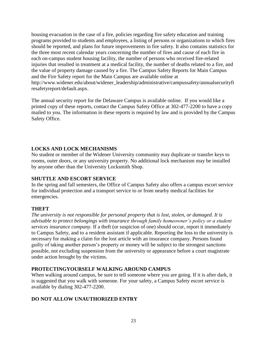housing evacuation in the case of a fire, policies regarding fire safety education and training programs provided to students and employees, a listing of persons or organizations to which fires should be reported, and plans for future improvements in fire safety. It also contains statistics for the three most recent calendar years concerning the number of fires and cause of each fire in each on-campus student housing facility, the number of persons who received fire-related injuries that resulted in treatment at a medical facility, the number of deaths related to a fire, and the value of property damage caused by a fire. The Campus Safety Reports for Main Campus and the Fire Safety report for the Main Campus are available online at http://www.widener.edu/about/widener\_leadership/administrative/campussafety/annualsecurityfi resafetyreport/default.aspx.

The annual security report for the Delaware Campus is available online. If you would like a printed copy of these reports, contact the Campus Safety Office at 302-477-2200 to have a copy mailed to you. The information in these reports is required by law and is provided by the Campus Safety Office.

## **LOCKS AND LOCK MECHANISMS**

No student or member of the Widener University community may duplicate or transfer keys to rooms, outer doors, or any university property. No additional lock mechanism may be installed by anyone other than the University Locksmith Shop.

## **SHUTTLE AND ESCORT SERVICE**

In the spring and fall semesters, the Office of Campus Safety also offers a campus escort service for individual protection and a transport service to or from nearby medical facilities for emergencies.

## **THEFT**

*The university is not responsible for personal property that is lost, stolen, or damaged. It is advisable to protect belongings with insurance through family homeowner's policy or a student services insurance company.* If a theft (or suspicion of one) should occur, report it immediately to Campus Safety, and to a resident assistant if applicable. Reporting the loss to the university is necessary for making a claim for the lost article with an insurance company. Persons found guilty of taking another person's property or money will be subject to the strongest sanctions possible, not excluding suspension from the university or appearance before a court magistrate under action brought by the victims.

## **PROTECTINGYOURSELF WALKING AROUND CAMPUS**

When walking around campus, be sure to tell someone where you are going. If it is after dark, it is suggested that you walk with someone. For your safety, a Campus Safety escort service is available by dialing 302-477-2200.

## **DO NOT ALLOW UNAUTHORIZED ENTRY**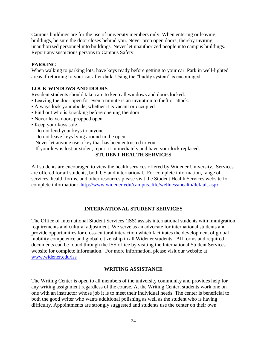Campus buildings are for the use of university members only. When entering or leaving buildings, be sure the door closes behind you. Never prop open doors, thereby inviting unauthorized personnel into buildings. Never let unauthorized people into campus buildings. Report any suspicious persons to Campus Safety.

## **PARKING**

When walking to parking lots, have keys ready before getting to your car. Park in well-lighted areas if returning to your car after dark. Using the "buddy system" is encouraged.

## **LOCK WINDOWS AND DOORS**

Resident students should take care to keep all windows and doors locked.

- Leaving the door open for even a minute is an invitation to theft or attack.
- Always lock your abode, whether it is vacant or occupied.
- Find out who is knocking before opening the door.
- Never leave doors propped open.
- Keep your keys safe.
- Do not lend your keys to anyone.
- Do not leave keys lying around in the open.
- Never let anyone use a key that has been entrusted to you.
- If your key is lost or stolen, report it immediately and have your lock replaced.

## **STUDENT HEALTH SERVICES**

All students are encouraged to view the health services offered by Widener University. Services are offered for all students, both US and international. For complete information, range of services, health forms, and other resources please visit the Student Health Services website for complete information: [http://www.widener.edu/campus\\_life/wellness/health/default.aspx.](http://www.widener.edu/campus_life/wellness/health/default.aspx)

## **INTERNATIONAL STUDENT SERVICES**

The Office of International Student Services (ISS) assists international students with immigration requirements and cultural adjustment. We serve as an advocate for international students and provide opportunities for cross-cultural interaction which facilitates the development of global mobility competence and global citizenship in all Widener students. All forms and required documents can be found through the ISS office by visiting the International Student Services website for complete information. For more information, please visit our website at [www.widener.edu/iss](http://www.widener.edu/iss)

## **WRITING ASSISTANCE**

The Writing Center is open to all members of the university community and provides help for any writing assignment regardless of the course. At the Writing Center, students work one on one with an instructor whose job it is to meet their individual needs. The center is beneficial to both the good writer who wants additional polishing as well as the student who is having difficulty. Appointments are strongly suggested and students use the center on their own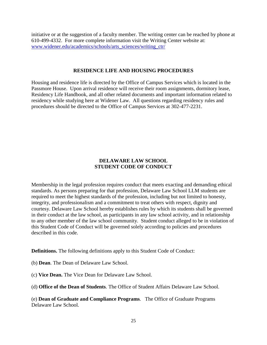initiative or at the suggestion of a faculty member. The writing center can be reached by phone at 610-499-4332. For more complete information visit the Writing Center website at: [www.widener.edu/academics/schools/arts\\_sciences/writing\\_ctr/](http://www.widener.edu/academics/schools/arts_sciences/writing_ctr/)

#### **RESIDENCE LIFE AND HOUSING PROCEDURES**

Housing and residence life is directed by the Office of Campus Services which is located in the Passmore House. Upon arrival residence will receive their room assignments, dormitory lease, Residency Life Handbook, and all other related documents and important information related to residency while studying here at Widener Law. All questions regarding residency rules and procedures should be directed to the Office of Campus Services at 302-477-2231.

## **DELAWARE LAW SCHOOL STUDENT CODE OF CONDUCT**

Membership in the legal profession requires conduct that meets exacting and demanding ethical standards. As persons preparing for that profession, Delaware Law School LLM students are required to meet the highest standards of the profession, including but not limited to honesty, integrity, and professionalism and a commitment to treat others with respect, dignity and courtesy. Delaware Law School hereby establishes rules by which its students shall be governed in their conduct at the law school, as participants in any law school activity, and in relationship to any other member of the law school community. Student conduct alleged to be in violation of this Student Code of Conduct will be governed solely according to policies and procedures described in this code.

**Definitions.** The following definitions apply to this Student Code of Conduct:

(b) **Dean**. The Dean of Delaware Law School.

(c) **Vice Dean.** The Vice Dean for Delaware Law School.

(d) **Office of the Dean of Students**. The Office of Student Affairs Delaware Law School.

(e) **Dean of Graduate and Compliance Programs**. The Office of Graduate Programs Delaware Law School.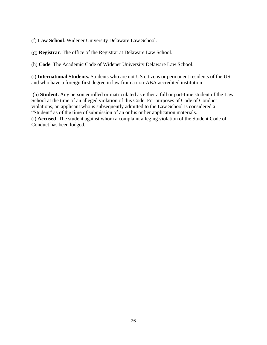(f) **Law School**. Widener University Delaware Law School.

(g) **Registrar**. The office of the Registrar at Delaware Law School.

(h) **Code**. The Academic Code of Widener University Delaware Law School.

(i) **International Students.** Students who are not US citizens or permanent residents of the US and who have a foreign first degree in law from a non-ABA accredited institution

(h) **Student.** Any person enrolled or matriculated as either a full or part-time student of the Law School at the time of an alleged violation of this Code. For purposes of Code of Conduct violations, an applicant who is subsequently admitted to the Law School is considered a "Student" as of the time of submission of an or his or her application materials. (i) **Accused**. The student against whom a complaint alleging violation of the Student Code of Conduct has been lodged.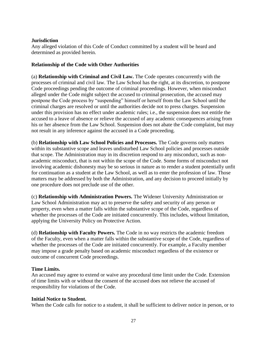## **Jurisdiction**

Any alleged violation of this Code of Conduct committed by a student will be heard and determined as provided herein.

## **Relationship of the Code with Other Authorities**

(a) **Relationship with Criminal and Civil Law.** The Code operates concurrently with the processes of criminal and civil law. The Law School has the right, at its discretion, to postpone Code proceedings pending the outcome of criminal proceedings. However, when misconduct alleged under the Code might subject the accused to criminal prosecution, the accused may postpone the Code process by "suspending" himself or herself from the Law School until the criminal charges are resolved or until the authorities decide not to press charges. Suspension under this provision has no effect under academic rules; i.e., the suspension does not entitle the accused to a leave of absence or relieve the accused of any academic consequences arising from his or her absence from the Law School. Suspension does not abate the Code complaint, but may not result in any inference against the accused in a Code proceeding.

(b) **Relationship with Law School Policies and Processes.** The Code governs only matters within its substantive scope and leaves undisturbed Law School policies and processes outside that scope. The Administration may in its discretion respond to any misconduct, such as nonacademic misconduct, that is not within the scope of the Code. Some forms of misconduct not involving academic dishonesty may be so serious in nature as to render a student potentially unfit for continuation as a student at the Law School, as well as to enter the profession of law. Those matters may be addressed by both the Administration, and any decision to proceed initially by one procedure does not preclude use of the other.

(c) **Relationship with Administration Powers.** The Widener University Administration or Law School Administration may act to preserve the safety and security of any person or property, even when a matter falls within the substantive scope of the Code, regardless of whether the processes of the Code are initiated concurrently. This includes, without limitation, applying the University Policy on Protective Action.

(d) **Relationship with Faculty Powers.** The Code in no way restricts the academic freedom of the Faculty, even when a matter falls within the substantive scope of the Code, regardless of whether the processes of the Code are initiated concurrently. For example, a Faculty member may impose a grade penalty based on academic misconduct regardless of the existence or outcome of concurrent Code proceedings.

#### **Time Limits.**

An accused may agree to extend or waive any procedural time limit under the Code. Extension of time limits with or without the consent of the accused does not relieve the accused of responsibility for violations of the Code.

#### **Initial Notice to Student.**

When the Code calls for notice to a student, it shall be sufficient to deliver notice in person, or to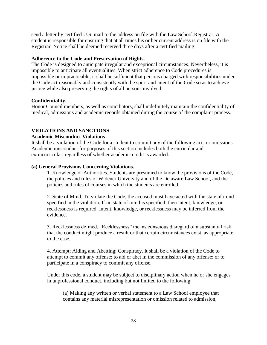send a letter by certified U.S. mail to the address on file with the Law School Registrar. A student is responsible for ensuring that at all times his or her current address is on file with the Registrar. Notice shall be deemed received three days after a certified mailing.

#### **Adherence to the Code and Preservation of Rights.**

The Code is designed to anticipate irregular and exceptional circumstances. Nevertheless, it is impossible to anticipate all eventualities. When strict adherence to Code procedures is impossible or impracticable, it shall be sufficient that persons charged with responsibilities under the Code act reasonably and consistently with the spirit and intent of the Code so as to achieve justice while also preserving the rights of all persons involved.

#### **Confidentiality.**

Honor Council members, as well as conciliators, shall indefinitely maintain the confidentiality of medical, admissions and academic records obtained during the course of the complaint process.

## **VIOLATIONS AND SANCTIONS**

#### **Academic Misconduct Violations**

It shall be a violation of the Code for a student to commit any of the following acts or omissions. Academic misconduct for purposes of this section includes both the curricular and extracurricular, regardless of whether academic credit is awarded.

#### **(a) General Provisions Concerning Violations.**

1. Knowledge of Authorities. Students are presumed to know the provisions of the Code, the policies and rules of Widener University and of the Delaware Law School, and the policies and rules of courses in which the students are enrolled.

2. State of Mind. To violate the Code, the accused must have acted with the state of mind specified in the violation. If no state of mind is specified, then intent, knowledge, or recklessness is required. Intent, knowledge, or recklessness may be inferred from the evidence.

3. Recklessness defined. "Recklessness" means conscious disregard of a substantial risk that the conduct might produce a result or that certain circumstances exist, as appropriate to the case.

4. Attempt; Aiding and Abetting; Conspiracy. It shall be a violation of the Code to attempt to commit any offense; to aid or abet in the commission of any offense; or to participate in a conspiracy to commit any offense.

Under this code, a student may be subject to disciplinary action when he or she engages in unprofessional conduct, including but not limited to the following:

(a) Making any written or verbal statement to a Law School employee that contains any material misrepresentation or omission related to admission,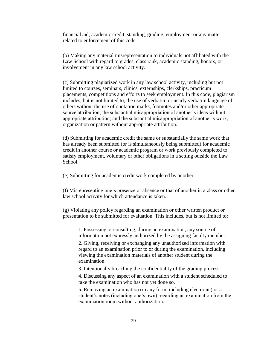financial aid, academic credit, standing, grading, employment or any matter related to enforcement of this code.

(b) Making any material misrepresentation to individuals not affiliated with the Law School with regard to grades, class rank, academic standing, honors, or involvement in any law school activity.

(c) Submitting plagiarized work in any law school activity, including but not limited to courses, seminars, clinics, externships, clerkships, practicum placements, competitions and efforts to seek employment. In this code, plagiarism includes, but is not limited to, the use of verbatim or nearly verbatim language of others without the use of quotation marks, footnotes and/or other appropriate source attribution; the substantial misappropriation of another's ideas without appropriate attribution; and the substantial misappropriation of another's work, organization or pattern without appropriate attribution.

(d) Submitting for academic credit the same or substantially the same work that has already been submitted (or is simultaneously being submitted) for academic credit in another course or academic program or work previously completed to satisfy employment, voluntary or other obligations in a setting outside the Law School.

(e) Submitting for academic credit work completed by another.

(f) Misrepresenting one's presence or absence or that of another in a class or other law school activity for which attendance is taken.

(g) Violating any policy regarding an examination or other written product or presentation to be submitted for evaluation. This includes, but is not limited to:

1. Possessing or consulting, during an examination, any source of information not expressly authorized by the assigning faculty member.

2. Giving, receiving or exchanging any unauthorized information with regard to an examination prior to or during the examination, including viewing the examination materials of another student during the examination.

3. Intentionally breaching the confidentiality of the grading process.

4. Discussing any aspect of an examination with a student scheduled to take the examination who has not yet done so.

5. Removing an examination (in any form, including electronic) or a student's notes (including one's own) regarding an examination from the examination room without authorization.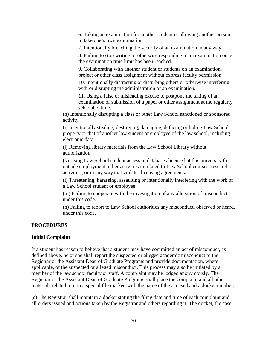6. Taking an examination for another student or allowing another person to take one's own examination.

7. Intentionally breaching the security of an examination in any way

8. Failing to stop writing or otherwise responding to an examination once the examination time limit has been reached.

9. Collaborating with another student or students on an examination, project or other class assignment without express faculty permission.

10. Intentionally distracting or disturbing others or otherwise interfering with or disrupting the administration of an examination.

11. Using a false or misleading excuse to postpone the taking of an examination or submission of a paper or other assignment at the regularly scheduled time.

(h) Intentionally disrupting a class or other Law School sanctioned or sponsored activity.

(i) Intentionally stealing, destroying, damaging, defacing or hiding Law School property or that of another law student or employee of the law school, including electronic data.

(j) Removing library materials from the Law School Library without authorization.

(k) Using Law School student access to databases licensed at this university for outside employment, other activities unrelated to Law School courses, research or activities, or in any way that violates licensing agreements.

(l) Threatening, harassing, assaulting or intentionally interfering with the work of a Law School student or employee.

(m) Failing to cooperate with the investigation of any allegation of misconduct under this code.

(n) Failing to report to Law School authorities any misconduct, observed or heard, under this code.

#### **PROCEDURES**

#### **Initial Complaint**

If a student has reason to believe that a student may have committed an act of misconduct, as defined above, he or she shall report the suspected or alleged academic misconduct to the Registrar or the Assistant Dean of Graduate Programs and provide documentation, where applicable, of the suspected or alleged misconduct. This process may also be initiated by a member of the law school faculty or staff. A complaint may be lodged anonymously. The Registrar or the Assistant Dean of Graduate Programs shall place the complaint and all other materials related to it in a special file marked with the name of the accused and a docket number.

(c) The Registrar shall maintain a docket stating the filing date and time of each complaint and all orders issued and actions taken by the Registrar and others regarding it. The docket, the case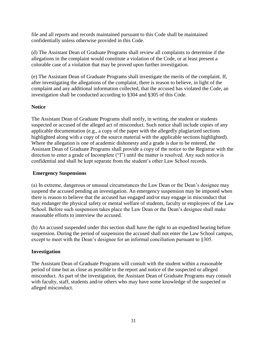file and all reports and records maintained pursuant to this Code shall be maintained confidentially unless otherwise provided in this Code.

(d) The Assistant Dean of Graduate Programs shall review all complaints to determine if the allegations in the complaint would constitute a violation of the Code, or at least present a colorable case of a violation that may be proved upon further investigation.

(e) The Assistant Dean of Graduate Programs shall investigate the merits of the complaint. If, after investigating the allegations of the complaint, there is reason to believe, in light of the complaint and any additional information collected, that the accused has violated the Code, an investigation shall be conducted according to §304 and §305 of this Code.

## **Notice**

The Assistant Dean of Graduate Programs shall notify, in writing, the student or students suspected or accused of the alleged act of misconduct. Such notice shall include copies of any applicable documentation (e.g., a copy of the paper with the allegedly plagiarized sections highlighted along with a copy of the source material with the applicable sections highlighted). Where the allegation is one of academic dishonesty and a grade is due to be entered, the Assistant Dean of Graduate Programs shall provide a copy of the notice to the Registrar with the direction to enter a grade of Incomplete ("I") until the matter is resolved. Any such notice is confidential and shall be kept separate from the student's other Law School records.

## **Emergency Suspensions**

(a) In extreme, dangerous or unusual circumstances the Law Dean or the Dean's designee may suspend the accused pending an investigation. An emergency suspension may be imposed when there is reason to believe that the accused has engaged and/or may engage in misconduct that may endanger the physical safety or mental welfare of students, faculty or employees of the Law School. Before such suspension takes place the Law Dean or the Dean's designee shall make reasonable efforts to interview the accused.

(b) An accused suspended under this section shall have the right to an expedited hearing before suspension. During the period of suspension the accused shall not enter the Law School campus, except to meet with the Dean's designee for an informal conciliation pursuant to §305.

## **Investigation**

The Assistant Dean of Graduate Programs will consult with the student within a reasonable period of time but as close as possible to the report and notice of the suspected or alleged misconduct. As part of the investigation, the Assistant Dean of Graduate Programs may consult with faculty, staff, students and/or others who may have some knowledge of the suspected or alleged misconduct.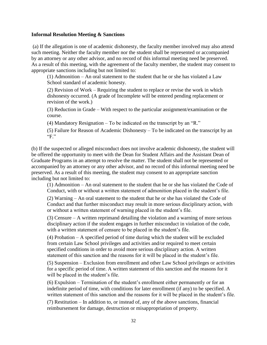#### **Informal Resolution Meeting & Sanctions**

(a) If the allegation is one of academic dishonesty, the faculty member involved may also attend such meeting. Neither the faculty member nor the student shall be represented or accompanied by an attorney or any other advisor, and no record of this informal meeting need be preserved. As a result of this meeting, with the agreement of the faculty member, the student may consent to appropriate sanctions including but not limited to:

(1) Admonition – An oral statement to the student that he or she has violated a Law School standard of academic honesty.

(2) Revision of Work – Requiring the student to replace or revise the work in which dishonesty occurred. (A grade of Incomplete will be entered pending replacement or revision of the work.)

(3) Reduction in Grade – With respect to the particular assignment/examination or the course.

(4) Mandatory Resignation – To be indicated on the transcript by an "R."

(5) Failure for Reason of Academic Dishonesty – To be indicated on the transcript by an "F."

(b) If the suspected or alleged misconduct does not involve academic dishonesty, the student will be offered the opportunity to meet with the Dean for Student Affairs and the Assistant Dean of Graduate Programs in an attempt to resolve the matter. The student shall not be represented or accompanied by an attorney or any other advisor, and no record of this informal meeting need be preserved. As a result of this meeting, the student may consent to an appropriate sanction including but not limited to:

(1) Admonition – An oral statement to the student that he or she has violated the Code of Conduct, with or without a written statement of admonition placed in the student's file.

(2) Warning – An oral statement to the student that he or she has violated the Code of Conduct and that further misconduct may result in more serious disciplinary action, with or without a written statement of warning placed in the student's file.

(3) Censure – A written reprimand detailing the violation and a warning of more serious disciplinary action if the student engages in further misconduct in violation of the code, with a written statement of censure to be placed in the student's file.

(4) Probation – A specified period of time during which the student will be excluded from certain Law School privileges and activities and/or required to meet certain specified conditions in order to avoid more serious disciplinary action. A written statement of this sanction and the reasons for it will be placed in the student's file.

(5) Suspension – Exclusion from enrollment and other Law School privileges or activities for a specific period of time. A written statement of this sanction and the reasons for it will be placed in the student's file.

(6) Expulsion – Termination of the student's enrollment either permanently or for an indefinite period of time, with conditions for later enrollment (if any) to be specified. A written statement of this sanction and the reasons for it will be placed in the student's file.

(7) Restitution – In addition to, or instead of, any of the above sanctions, financial reimbursement for damage, destruction or misappropriation of property.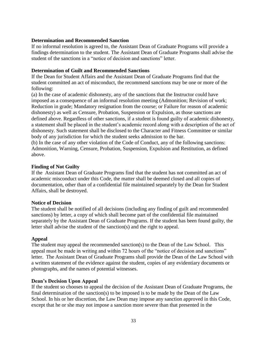#### **Determination and Recommended Sanction**

If no informal resolution is agreed to, the Assistant Dean of Graduate Programs will provide a findings determination to the student. The Assistant Dean of Graduate Programs shall advise the student of the sanctions in a "notice of decision and sanctions" letter.

### **Determination of Guilt and Recommended Sanctions**

If the Dean for Student Affairs and the Assistant Dean of Graduate Programs find that the student committed an act of misconduct, the recommend sanctions may be one or more of the following:

(a) In the case of academic dishonesty, any of the sanctions that the Instructor could have imposed as a consequence of an informal resolution meeting (Admonition; Revision of work; Reduction in grade; Mandatory resignation from the course; or Failure for reason of academic dishonesty) as well as Censure, Probation, Suspension or Expulsion, as those sanctions are defined above. Regardless of other sanctions, if a student is found guilty of academic dishonesty, a statement shall be placed in the student's academic record along with a description of the act of dishonesty. Such statement shall be disclosed to the Character and Fitness Committee or similar body of any jurisdiction for which the student seeks admission to the bar.

(b) In the case of any other violation of the Code of Conduct, any of the following sanctions: Admonition, Warning, Censure, Probation, Suspension, Expulsion and Restitution, as defined above.

## **Finding of Not Guilty**

If the Assistant Dean of Graduate Programs find that the student has not committed an act of academic misconduct under this Code, the matter shall be deemed closed and all copies of documentation, other than of a confidential file maintained separately by the Dean for Student Affairs, shall be destroyed.

#### **Notice of Decision**

The student shall be notified of all decisions (including any finding of guilt and recommended sanctions) by letter, a copy of which shall become part of the confidential file maintained separately by the Assistant Dean of Graduate Programs. If the student has been found guilty, the letter shall advise the student of the sanction(s) and the right to appeal.

#### **Appeal**

The student may appeal the recommended sanction(s) to the Dean of the Law School. This appeal must be made in writing and within 72 hours of the "notice of decision and sanctions" letter. The Assistant Dean of Graduate Programs shall provide the Dean of the Law School with a written statement of the evidence against the student, copies of any evidentiary documents or photographs, and the names of potential witnesses.

#### **Dean's Decision Upon Appeal**

If the student so chooses to appeal the decision of the Assistant Dean of Graduate Programs, the final determination of the sanction(s) to be imposed is to be made by the Dean of the Law School. In his or her discretion, the Law Dean may impose any sanction approved in this Code, except that he or she may not impose a sanction more severe than that presented in the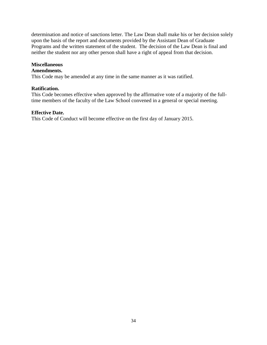determination and notice of sanctions letter. The Law Dean shall make his or her decision solely upon the basis of the report and documents provided by the Assistant Dean of Graduate Programs and the written statement of the student. The decision of the Law Dean is final and neither the student nor any other person shall have a right of appeal from that decision.

### **Miscellaneous**

#### **Amendments.**

This Code may be amended at any time in the same manner as it was ratified.

#### **Ratification.**

This Code becomes effective when approved by the affirmative vote of a majority of the fulltime members of the faculty of the Law School convened in a general or special meeting.

#### **Effective Date.**

This Code of Conduct will become effective on the first day of January 2015.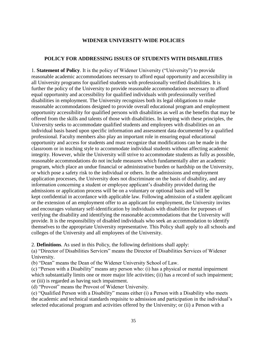#### **WIDENER UNIVERSITY-WIDE POLICIES**

#### **POLICY FOR ADDRESSING ISSUES OF STUDENTS WITH DISABILITIES**

1. **Statement of Policy**. It is the policy of Widener University ("University") to provide reasonable academic accommodations necessary to afford equal opportunity and accessibility in all University programs for qualified students with professionally verified disabilities. It is further the policy of the University to provide reasonable accommodations necessary to afford equal opportunity and accessibility for qualified individuals with professionally verified disabilities in employment. The University recognizes both its legal obligations to make reasonable accommodations designed to provide overall educational program and employment opportunity accessibility for qualified persons with disabilities as well as the benefits that may be offered from the skills and talents of those with disabilities. In keeping with these principles, the University seeks to accommodate qualified students and employees with disabilities on an individual basis based upon specific information and assessment data documented by a qualified professional. Faculty members also play an important role in ensuring equal educational opportunity and access for students and must recognize that modifications can be made in the classroom or in teaching style to accommodate individual students without affecting academic integrity. However, while the University will strive to accommodate students as fully as possible, reasonable accommodations do not include measures which fundamentally alter an academic program, which place an undue financial or administrative burden or hardship on the University, or which pose a safety risk to the individual or others. In the admissions and employment application processes, the University does not discriminate on the basis of disability, and any information concerning a student or employee applicant's disability provided during the admissions or application process will be on a voluntary or optional basis and will be kept confidential in accordance with applicable law. Following admission of a student applicant or the extension of an employment offer to an applicant for employment, the University invites and encourages voluntary self-identification by individuals with disabilities for purposes of verifying the disability and identifying the reasonable accommodations that the University will provide. It is the responsibility of disabled individuals who seek an accommodation to identify themselves to the appropriate University representative. This Policy shall apply to all schools and colleges of the University and all employees of the University.

2. **Definitions**. As used in this Policy, the following definitions shall apply:

(a) "Director of Disabilities Services" means the Director of Disabilities Services of Widener University.

(b) "Dean" means the Dean of the Widener University School of Law.

(c) "Person with a Disability" means any person who: (i) has a physical or mental impairment which substantially limits one or more major life activities; (ii) has a record of such impairment; or (iii) is regarded as having such impairment.

(d) "Provost" means the Provost of Widener University.

(e) "Qualified Person with a Disability" means either (i) a Person with a Disability who meets the academic and technical standards requisite to admission and participation in the individual's selected educational program and activities offered by the University; or (ii) a Person with a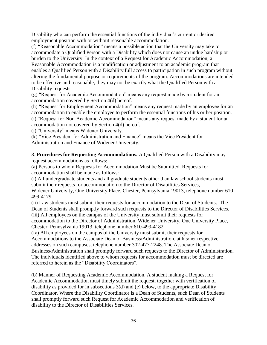Disability who can perform the essential functions of the individual's current or desired employment position with or without reasonable accommodation.

(f) "Reasonable Accommodation" means a possible action that the University may take to accommodate a Qualified Person with a Disability which does not cause an undue hardship or burden to the University. In the context of a Request for Academic Accommodation, a Reasonable Accommodation is a modification or adjustment to an academic program that enables a Qualified Person with a Disability full access to participation in such program without altering the fundamental purpose or requirements of the program. Accommodations are intended to be effective and reasonable; they may not be exactly what the Qualified Person with a Disability requests.

(g) "Request for Academic Accommodation" means any request made by a student for an accommodation covered by Section 4(d) hereof.

(h) "Request for Employment Accommodation" means any request made by an employee for an accommodation to enable the employee to perform the essential functions of his or her position.

(i) "Request for Non-Academic Accommodation" means any request made by a student for an accommodation not covered by Section 4(d) hereof.

(j) "University" means Widener University.

(k) "Vice President for Administration and Finance" means the Vice President for Administration and Finance of Widener University.

3. **Procedures for Requesting Accommodations.** A Qualified Person with a Disability may request accommodations as follows:

(a) Persons to whom Requests for Accommodation Must be Submitted. Requests for accommodation shall be made as follows:

(i) All undergraduate students and all graduate students other than law school students must submit their requests for accommodation to the Director of Disabilities Services,

Widener University, One University Place, Chester, Pennsylvania 19013, telephone number 610- 499-4179.

(ii) Law students must submit their requests for accommodation to the Dean of Students. The Dean of Students shall promptly forward such requests to the Director of Disabilities Services. (iii) All employees on the campus of the University must submit their requests for

accommodation to the Director of Administration, Widener University, One University Place, Chester, Pennsylvania 19013, telephone number 610-499-4182.

(iv) All employees on the campus of the University must submit their requests for Accommodations to the Associate Dean of Business/Administration, at his/her respective addresses on such campuses, telephone number 302-477-2248. The Associate Dean of Business/Administration shall promptly forward such requests to the Director of Administration. The individuals identified above to whom requests for accommodation must be directed are referred to herein as the "Disability Coordinators".

(b) Manner of Requesting Academic Accommodation. A student making a Request for Academic Accommodation must timely submit the request, together with verification of disability as provided for in subsections 3(d) and (e) below, to the appropriate Disability Coordinator. Where the Disability Coordinator is a Dean of Students, such Dean of Students shall promptly forward such Request for Academic Accommodation and verification of disability to the Director of Disabilities Services.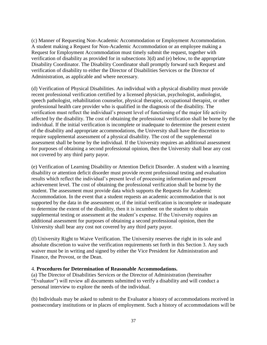(c) Manner of Requesting Non-Academic Accommodation or Employment Accommodation. A student making a Request for Non-Academic Accommodation or an employee making a Request for Employment Accommodation must timely submit the request, together with verification of disability as provided for in subsections 3(d) and (e) below, to the appropriate Disability Coordinator. The Disability Coordinator shall promptly forward such Request and verification of disability to either the Director of Disabilities Services or the Director of Administration, as applicable and where necessary.

(d) Verification of Physical Disabilities. An individual with a physical disability must provide recent professional verification certified by a licensed physician, psychologist, audiologist, speech pathologist, rehabilitation counselor, physical therapist, occupational therapist, or other professional health care provider who is qualified in the diagnosis of the disability. The verification must reflect the individual's present level of functioning of the major life activity affected by the disability. The cost of obtaining the professional verification shall be borne by the individual. If the initial verification is incomplete or inadequate to determine the present extent of the disability and appropriate accommodations, the University shall have the discretion to require supplemental assessment of a physical disability. The cost of the supplemental assessment shall be borne by the individual. If the University requires an additional assessment for purposes of obtaining a second professional opinion, then the University shall bear any cost not covered by any third party payor.

(e) Verification of Learning Disability or Attention Deficit Disorder. A student with a learning disability or attention deficit disorder must provide recent professional testing and evaluation results which reflect the individual's present level of processing information and present achievement level. The cost of obtaining the professional verification shall be borne by the student. The assessment must provide data which supports the Requests for Academic Accommodation. In the event that a student requests an academic accommodation that is not supported by the data in the assessment or, if the initial verification is incomplete or inadequate to determine the extent of the disability, then it is incumbent on the student to obtain supplemental testing or assessment at the student's expense. If the University requires an additional assessment for purposes of obtaining a second professional opinion, then the University shall bear any cost not covered by any third party payor.

(f) University Right to Waive Verification. The University reserves the right in its sole and absolute discretion to waive the verification requirements set forth in this Section 3. Any such waiver must be in writing and signed by either the Vice President for Administration and Finance, the Provost, or the Dean.

#### 4. **Procedures for Determination of Reasonable Accommodations.**

(a) The Director of Disabilities Services or the Director of Administration (hereinafter "Evaluator") will review all documents submitted to verify a disability and will conduct a personal interview to explore the needs of the individual.

(b) Individuals may be asked to submit to the Evaluator a history of accommodations received in postsecondary institutions or in places of employment. Such a history of accommodations will be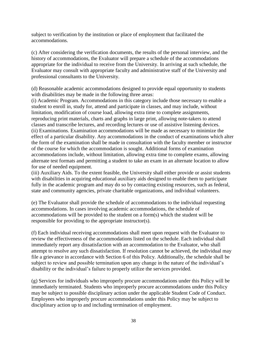subject to verification by the institution or place of employment that facilitated the accommodations.

(c) After considering the verification documents, the results of the personal interview, and the history of accommodations, the Evaluator will prepare a schedule of the accommodations appropriate for the individual to receive from the University. In arriving at such schedule, the Evaluator may consult with appropriate faculty and administrative staff of the University and professional consultants to the University.

(d) Reasonable academic accommodations designed to provide equal opportunity to students with disabilities may be made in the following three areas:

(i) Academic Program. Accommodations in this category include those necessary to enable a student to enroll in, study for, attend and participate in classes, and may include, without limitation, modification of course load, allowing extra time to complete assignments, reproducing print materials, charts and graphs in large print, allowing note-takers to attend classes and transcribe lectures, and recording lectures or use of assistive listening devices. (ii) Examinations. Examination accommodations will be made as necessary to minimize the effect of a particular disability. Any accommodations in the conduct of examinations which alter the form of the examination shall be made in consultation with the faculty member or instructor of the course for which the accommodation is sought. Additional forms of examination accommodations include, without limitation, allowing extra time to complete exams, allowing alternate test formats and permitting a student to take an exam in an alternate location to allow for use of needed equipment.

(iii) Auxiliary Aids. To the extent feasible, the University shall either provide or assist students with disabilities in acquiring educational auxiliary aids designed to enable them to participate fully in the academic program and may do so by contacting existing resources, such as federal, state and community agencies, private charitable organizations, and individual volunteers.

(e) The Evaluator shall provide the schedule of accommodations to the individual requesting accommodations. In cases involving academic accommodations, the schedule of accommodations will be provided to the student on a form(s) which the student will be responsible for providing to the appropriate instructor(s).

(f) Each individual receiving accommodations shall meet upon request with the Evaluator to review the effectiveness of the accommodations listed on the schedule. Each individual shall immediately report any dissatisfaction with an accommodation to the Evaluator, who shall attempt to resolve any such dissatisfaction. If resolution cannot be achieved, the individual may file a grievance in accordance with Section 6 of this Policy. Additionally, the schedule shall be subject to review and possible termination upon any change in the nature of the individual's disability or the individual's failure to properly utilize the services provided.

(g) Services for individuals who improperly procure accommodations under this Policy will be immediately terminated. Students who improperly procure accommodations under this Policy may be subject to possible disciplinary action under the applicable Student Code of Conduct. Employees who improperly procure accommodations under this Policy may be subject to disciplinary action up to and including termination of employment.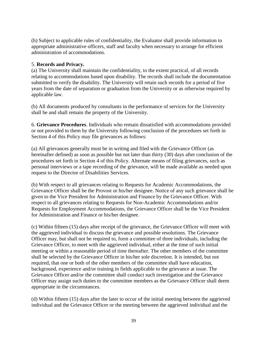(h) Subject to applicable rules of confidentiality, the Evaluator shall provide information to appropriate administrative officers, staff and faculty when necessary to arrange for efficient administration of accommodations.

## 5. **Records and Privacy.**

(a) The University shall maintain the confidentiality, to the extent practical, of all records relating to accommodations based upon disability. The records shall include the documentation submitted to verify the disability. The University will retain such records for a period of five years from the date of separation or graduation from the University or as otherwise required by applicable law.

(b) All documents produced by consultants in the performance of services for the University shall be and shall remain the property of the University.

6. **Grievance Procedures**. Individuals who remain dissatisfied with accommodations provided or not provided to them by the University following conclusion of the procedures set forth in Section 4 of this Policy may file grievances as follows:

(a) All grievances generally must be in writing and filed with the Grievance Officer (as hereinafter defined) as soon as possible but not later than thirty (30) days after conclusion of the procedures set forth in Section 4 of this Policy. Alternate means of filing grievances, such as personal interviews or a tape recording of the grievance, will be made available as needed upon request to the Director of Disabilities Services.

(b) With respect to all grievances relating to Requests for Academic Accommodations, the Grievance Officer shall be the Provost or his/her designee. Notice of any such grievance shall be given to the Vice President for Administration and Finance by the Grievance Officer. With respect to all grievances relating to Requests for Non-Academic Accommodations and/or Requests for Employment Accommodations, the Grievance Officer shall be the Vice President for Administration and Finance or his/her designee.

(c) Within fifteen (15) days after receipt of the grievance, the Grievance Officer will meet with the aggrieved individual to discuss the grievance and possible resolutions. The Grievance Officer may, but shall not be required to, form a committee of three individuals, including the Grievance Officer, to meet with the aggrieved individual, either at the time of such initial meeting or within a reasonable period of time thereafter. The other members of the committee shall be selected by the Grievance Officer in his/her sole discretion. It is intended, but not required, that one or both of the other members of the committee shall have education, background, experience and/or training in fields applicable to the grievance at issue. The Grievance Officer and/or the committee shall conduct such investigation and the Grievance Officer may assign such duties to the committee members as the Grievance Officer shall deem appropriate in the circumstances.

(d) Within fifteen (15) days after the later to occur of the initial meeting between the aggrieved individual and the Grievance Officer or the meeting between the aggrieved individual and the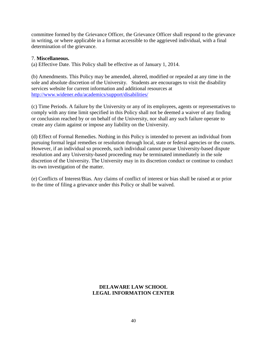committee formed by the Grievance Officer, the Grievance Officer shall respond to the grievance in writing, or where applicable in a format accessible to the aggrieved individual, with a final determination of the grievance.

## 7. **Miscellaneous.**

(a) Effective Date. This Policy shall be effective as of January 1, 2014.

(b) Amendments. This Policy may be amended, altered, modified or repealed at any time in the sole and absolute discretion of the University. Students are encourages to visit the disability services website for current information and additional resources at <http://www.widener.edu/academics/support/disabilities/>

(c) Time Periods. A failure by the University or any of its employees, agents or representatives to comply with any time limit specified in this Policy shall not be deemed a waiver of any finding or conclusion reached by or on behalf of the University, nor shall any such failure operate to create any claim against or impose any liability on the University.

(d) Effect of Formal Remedies. Nothing in this Policy is intended to prevent an individual from pursuing formal legal remedies or resolution through local, state or federal agencies or the courts. However, if an individual so proceeds, such individual cannot pursue University-based dispute resolution and any University-based proceeding may be terminated immediately in the sole discretion of the University. The University may in its discretion conduct or continue to conduct its own investigation of the matter.

(e) Conflicts of Interest/Bias. Any claims of conflict of interest or bias shall be raised at or prior to the time of filing a grievance under this Policy or shall be waived.

## **DELAWARE LAW SCHOOL LEGAL INFORMATION CENTER**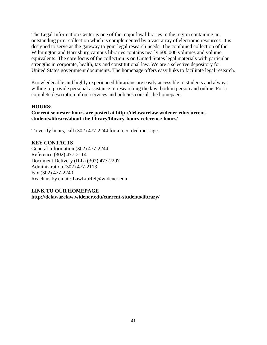The Legal Information Center is one of the major law libraries in the region containing an outstanding print collection which is complemented by a vast array of electronic resources. It is designed to serve as the gateway to your legal research needs. The combined collection of the Wilmington and Harrisburg campus libraries contains nearly 600,000 volumes and volume equivalents. The core focus of the collection is on United States legal materials with particular strengths in corporate, health, tax and constitutional law. We are a selective depository for United States government documents. The homepage offers easy links to facilitate legal research.

Knowledgeable and highly experienced librarians are easily accessible to students and always willing to provide personal assistance in researching the law, both in person and online. For a complete description of our services and policies consult the homepage.

#### **HOURS:**

## **Current semester hours are posted at http://delawarelaw.widener.edu/currentstudents/library/about-the-library/library-hours-reference-hours/**

To verify hours, call (302) 477-2244 for a recorded message.

## **KEY CONTACTS**

General Information (302) 477-2244 Reference (302) 477-2114 Document Delivery (ILL) (302) 477-2297 Administration (302) 477-2113 Fax (302) 477-2240 Reach us by email: LawLibRef@widener.edu

#### **LINK TO OUR HOMEPAGE**

**http://delawarelaw.widener.edu/current-students/library/**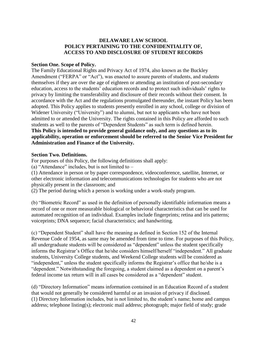## **DELAWARE LAW SCHOOL POLICY PERTAINING TO THE CONFIDENTIALITY OF, ACCESS TO AND DISCLOSURE OF STUDENT RECORDS**

#### **Section One. Scope of Policy.**

The Family Educational Rights and Privacy Act of 1974, also known as the Buckley Amendment ("FERPA" or "Act"), was enacted to assure parents of students, and students themselves if they are over the age of eighteen or attending an institution of post-secondary education, access to the students' education records and to protect such individuals' rights to privacy by limiting the transferability and disclosure of their records without their consent. In accordance with the Act and the regulations promulgated thereunder, the instant Policy has been adopted. This Policy applies to students presently enrolled in any school, college or division of Widener University ("University") and to alumni, but not to applicants who have not been admitted to or attended the University. The rights contained in this Policy are afforded to such students as well to the parents of "Dependent Students" as such term is defined herein. **This Policy is intended to provide general guidance only, and any questions as to its applicability, operation or enforcement should be referred to the Senior Vice President for Administration and Finance of the University.**

#### **Section Two. Definitions.**

For purposes of this Policy, the following definitions shall apply:

(a) "Attendance" includes, but is not limited to  $-$ 

(1) Attendance in person or by paper correspondence, videoconference, satellite, Internet, or other electronic information and telecommunications technologies for students who are not physically present in the classroom; and

(2) The period during which a person is working under a work-study program.

(b) "Biometric Record" as used in the definition of personally identifiable information means a record of one or more measurable biological or behavioral characteristics that can be used for automated recognition of an individual. Examples include fingerprints; retina and iris patterns; voiceprints; DNA sequence; facial characteristics; and handwriting.

(c) "Dependent Student" shall have the meaning as defined in Section 152 of the Internal Revenue Code of 1954, as same may be amended from time to time. For purposes of this Policy, all undergraduate students will be considered as "dependent" unless the student specifically informs the Registrar's Office that he/she considers himself/herself "independent." All graduate students, University College students, and Weekend College students will be considered as "independent," unless the student specifically informs the Registrar's office that he/she is a "dependent." Notwithstanding the foregoing, a student claimed as a dependent on a parent's federal income tax return will in all cases be considered as a "dependent" student.

(d) "Directory Information" means information contained in an Education Record of a student that would not generally be considered harmful or an invasion of privacy if disclosed. (1) Directory Information includes, but is not limited to, the student's name; home and campus address; telephone listing(s); electronic mail address; photograph; major field of study; grade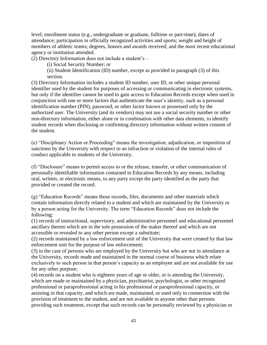level; enrollment status (e.g., undergraduate or graduate, fulltime or part-time); dates of attendance; participation in officially recognized activities and sports; weight and height of members of athletic teams; degrees, honors and awards received; and the most recent educational agency or institution attended.

(2) Directory Information does not include a student's –

(i) Social Security Number; or

(ii) Student Identification (ID) number, except as provided in paragraph (3) of this section.

(3) Directory Information includes a student ID number, user ID, or other unique personal identifier used by the student for purposes of accessing or communicating in electronic systems, but only if the identifier cannot be used to gain access to Education Records except when used in conjunction with one or more factors that authenticate the user's identity, such as a personal identification number (PIN), password, or other factor known or possessed only by the authorized user. The University (and its vendors) may not use a social security number or other non-directory information, either alone or in combination with other data elements, to identify student records when disclosing or confirming directory information without written consent of the student.

(e) "Disciplinary Action or Proceeding" means the investigation, adjudication, or imposition of sanctions by the University with respect to an infraction or violation of the internal rules of conduct applicable to students of the University.

(f) "Disclosure" means to permit access to or the release, transfer, or other communication of personally identifiable information contained in Education Records by any means, including oral, written, or electronic means, to any party except the party identified as the party that provided or created the record.

(g) "Education Records" means those records, files, documents and other materials which contain information directly related to a student and which are maintained by the University or by a person acting for the University. The term "Education Records" does not include the following:

(1) records of instructional, supervisory, and administrative personnel and educational personnel ancillary thereto which are in the sole possession of the maker thereof and which are not accessible or revealed to any other person except a substitute;

(2) records maintained by a law enforcement unit of the University that were created by that law enforcement unit for the purpose of law enforcement;

(3) in the case of persons who are employed by the University but who are not in attendance at the University, records made and maintained in the normal course of business which relate exclusively to such person in that person's capacity as an employee and are not available for use for any other purpose;

(4) records on a student who is eighteen years of age or older, or is attending the University, which are made or maintained by a physician, psychiatrist, psychologist, or other recognized professional or paraprofessional acting in his professional or paraprofessional capacity, or assisting in that capacity, and which are made, maintained, or used only in connection with the provision of treatment to the student, and are not available to anyone other than persons providing such treatment, except that such records can be personally reviewed by a physician or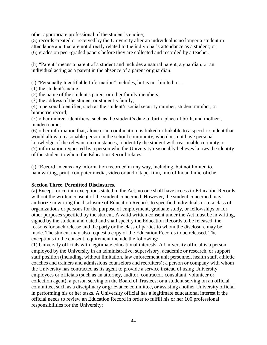other appropriate professional of the student's choice;

(5) records created or received by the University after an individual is no longer a student in attendance and that are not directly related to the individual's attendance as a student; or (6) grades on peer-graded papers before they are collected and recorded by a teacher.

(h) "Parent" means a parent of a student and includes a natural parent, a guardian, or an individual acting as a parent in the absence of a parent or guardian.

(i) "Personally Identifiable Information" includes, but is not limited to  $-$ 

(1) the student's name;

(2) the name of the student's parent or other family members;

(3) the address of the student or student's family;

(4) a personal identifier, such as the student's social security number, student number, or biometric record;

(5) other indirect identifiers, such as the student's date of birth, place of birth, and mother's maiden name;

(6) other information that, alone or in combination, is linked or linkable to a specific student that would allow a reasonable person in the school community, who does not have personal knowledge of the relevant circumstances, to identify the student with reasonable certainty; or (7) information requested by a person who the University reasonably believes knows the identity of the student to whom the Education Record relates.

(j) "Record" means any information recorded in any way, including, but not limited to, handwriting, print, computer media, video or audio tape, film, microfilm and microfiche.

## **Section Three. Permitted Disclosures.**

(a) Except for certain exceptions stated in the Act, no one shall have access to Education Records without the written consent of the student concerned. However, the student concerned may authorize in writing the disclosure of Education Records to specified individuals or to a class of organizations or persons for the purpose of employment, graduate study, or fellowships or for other purposes specified by the student. A valid written consent under the Act must be in writing, signed by the student and dated and shall specify the Education Records to be released, the reasons for such release and the party or the class of parties to whom the disclosure may be made. The student may also request a copy of the Education Records to be released. The exceptions to the consent requirement include the following:

(1) University officials with legitimate educational interests. A University official is a person employed by the University in an administrative, supervisory, academic or research, or support staff position (including, without limitation, law enforcement unit personnel, health staff, athletic coaches and trainers and admissions counselors and recruiters); a person or company with whom the University has contracted as its agent to provide a service instead of using University employees or officials (such as an attorney, auditor, contractor, consultant, volunteer or collection agent); a person serving on the Board of Trustees; or a student serving on an official committee, such as a disciplinary or grievance committee, or assisting another University official in performing his or her tasks. A University official has a legitimate educational interest if the official needs to review an Education Record in order to fulfill his or her 100 professional responsibilities for the University;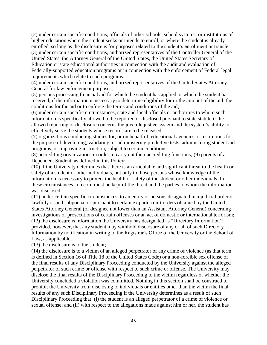(2) under certain specific conditions, officials of other schools, school systems, or institutions of higher education where the student seeks or intends to enroll, or where the student is already enrolled, so long as the disclosure is for purposes related to the student's enrollment or transfer;

(3) under certain specific conditions, authorized representatives of the Controller General of the United States, the Attorney General of the United States, the United States Secretary of Education or state educational authorities in connection with the audit and evaluation of Federally-supported education programs or in connection with the enforcement of Federal legal requirements which relate to such programs;

(4) under certain specific conditions, authorized representatives of the United States Attorney General for law enforcement purposes;

(5) persons processing financial aid for which the student has applied or which the student has received, if the information is necessary to determine eligibility for or the amount of the aid, the conditions for the aid or to enforce the terms and conditions of the aid;

(6) under certain specific circumstances, state and local officials or authorities to whom such information is specifically allowed to be reported or disclosed pursuant to state statute if the allowed reporting or disclosure concerns the juvenile justice system and the system's ability to effectively serve the students whose records are to be released;

(7) organizations conducting studies for, or on behalf of, educational agencies or institutions for the purpose of developing, validating, or administering predictive tests, administering student aid programs, or improving instruction, subject to certain conditions;

(8) accrediting organizations in order to carry out their accrediting functions; (9) parents of a Dependent Student, as defined in this Policy;

(10) if the University determines that there is an articulable and significant threat to the health or safety of a student or other individuals, but only to those persons whose knowledge of the information is necessary to protect the health or safety of the student or other individuals. In these circumstances, a record must be kept of the threat and the parties to whom the information was disclosed;

(11) under certain specific circumstances, to an entity or persons designated in a judicial order or lawfully issued subpoena, or pursuant to certain ex parte court orders obtained by the United States Attorney General (or designee not lower than an Assistant Attorney General) concerning investigations or prosecutions of certain offenses or an act of domestic or international terrorism; (12) the disclosure is information the University has designated as "Directory Information"; provided, however, that any student may withhold disclosure of any or all of such Directory Information by notification in writing to the Registrar's Office of the University or the School of Law, as applicable;

(13) the disclosure is to the student;

(14) the disclosure is to a victim of an alleged perpetrator of any crime of violence (as that term is defined in Section 16 of Title 18 of the United States Code) or a non-forcible sex offense of the final results of any Disciplinary Proceeding conducted by the University against the alleged perpetrator of such crime or offense with respect to such crime or offense. The University may disclose the final results of the Disciplinary Proceeding to the victim regardless of whether the University concluded a violation was committed. Nothing in this section shall be construed to prohibit the University from disclosing to individuals or entities other than the victim the final results of any such Disciplinary Proceeding if the University determines as a result of such Disciplinary Proceeding that: (i) the student is an alleged perpetrator of a crime of violence or sexual offense; and (ii) with respect to the allegations made against him or her, the student has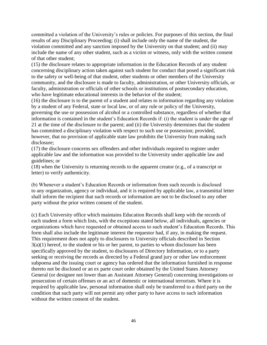committed a violation of the University's rules or policies. For purposes of this section, the final results of any Disciplinary Proceeding: (i) shall include only the name of the student, the violation committed and any sanction imposed by the University on that student; and (ii) may include the name of any other student, such as a victim or witness, only with the written consent of that other student;

(15) the disclosure relates to appropriate information in the Education Records of any student concerning disciplinary action taken against such student for conduct that posed a significant risk to the safety or well-being of that student, other students or other members of the University community, and the disclosure is made to faculty, administration, or other University officials, or faculty, administration or officials of other schools or institutions of postsecondary education, who have legitimate educational interests in the behavior of the student;

(16) the disclosure is to the parent of a student and relates to information regarding any violation by a student of any Federal, state or local law, or of any rule or policy of the University, governing the use or possession of alcohol or a controlled substance, regardless of whether that information is contained in the student's Education Records if: (i) the student is under the age of 21 at the time of the disclosure to the parent; and (ii) the University determines that the student has committed a disciplinary violation with respect to such use or possession; provided, however, that no provision of applicable state law prohibits the University from making such disclosure;

(17) the disclosure concerns sex offenders and other individuals required to register under applicable law and the information was provided to the University under applicable law and guidelines; or

(18) when the University is returning records to the apparent creator (e.g., of a transcript or letter) to verify authenticity.

(b) Whenever a student's Education Records or information from such records is disclosed to any organization, agency or individual, and it is required by applicable law, a transmittal letter shall inform the recipient that such records or information are not to be disclosed to any other party without the prior written consent of the student.

(c) Each University office which maintains Education Records shall keep with the records of each student a form which lists, with the exceptions stated below, all individuals, agencies or organizations which have requested or obtained access to such student's Education Records. This form shall also include the legitimate interest the requestor had, if any, in making the request. This requirement does not apply to disclosures to University officials described in Section  $3(a)(1)$  hereof, to the student or his or her parent, to parties to whom disclosure has been specifically approved by the student, to disclosures of Directory Information, or to a party seeking or receiving the records as directed by a Federal grand jury or other law enforcement subpoena and the issuing court or agency has ordered that the information furnished in response thereto not be disclosed or an ex parte court order obtained by the United States Attorney General (or designee not lower than an Assistant Attorney General) concerning investigations or prosecution of certain offenses or an act of domestic or international terrorism. Where it is required by applicable law, personal information shall only be transferred to a third party on the condition that such party will not permit any other party to have access to such information without the written consent of the student.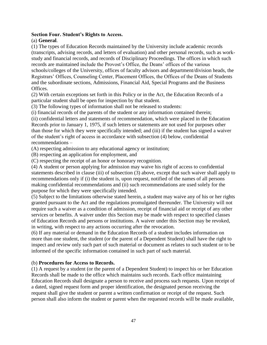## **Section Four. Student's Rights to Access.**

## (a) **General**.

(1) The types of Education Records maintained by the University include academic records (transcripts, advising records, and letters of evaluation) and other personal records, such as workstudy and financial records, and records of Disciplinary Proceedings. The offices in which such records are maintained include the Provost's Office, the Deans' offices of the various schools/colleges of the University, offices of faculty advisors and department/division heads, the Registrars' Offices, Counseling Center, Placement Offices, the Offices of the Deans of Students and the subordinate sections, Admissions, Financial Aid, Special Programs and the Business Offices.

(2) With certain exceptions set forth in this Policy or in the Act, the Education Records of a particular student shall be open for inspection by that student.

(3) The following types of information shall not be released to students:

(i) financial records of the parents of the student or any information contained therein;

(ii) confidential letters and statements of recommendation, which were placed in the Education Records prior to January 1, 1975, if such letters or statements are not used for purposes other than those for which they were specifically intended; and (iii) if the student has signed a waiver of the student's right of access in accordance with subsection (4) below, confidential recommendations –

(A) respecting admission to any educational agency or institution;

(B) respecting an application for employment, and

(C) respecting the receipt of an honor or honorary recognition.

(4) A student or person applying for admission may waive his right of access to confidential statements described in clause (iii) of subsection (3) above, except that such waiver shall apply to recommendations only if (i) the student is, upon request, notified of the names of all persons making confidential recommendations and (ii) such recommendations are used solely for the purpose for which they were specifically intended.

(5) Subject to the limitations otherwise stated herein, a student may waive any of his or her rights granted pursuant to the Act and the regulations promulgated thereunder. The University will not require such a waiver as a condition of admission, receipt of financial aid or receipt of any other services or benefits. A waiver under this Section may be made with respect to specified classes of Education Records and persons or institutions. A waiver under this Section may be revoked, in writing, with respect to any actions occurring after the revocation.

(6) If any material or demand in the Education Records of a student includes information on more than one student, the student (or the parent of a Dependent Student) shall have the right to inspect and review only such part of such material or document as relates to such student or to be informed of the specific information contained in such part of such material.

#### (b) **Procedures for Access to Records.**

(1) A request by a student (or the parent of a Dependent Student) to inspect his or her Education Records shall be made to the office which maintains such records. Each office maintaining Education Records shall designate a person to receive and process such requests. Upon receipt of a dated, signed request form and proper identification, the designated person receiving the request shall give the student or parent a written confirmation or receipt of the request. Such person shall also inform the student or parent when the requested records will be made available,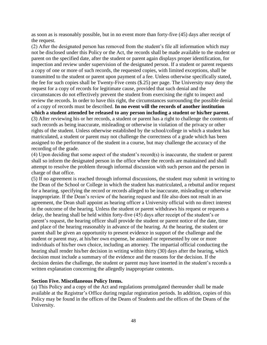as soon as is reasonably possible, but in no event more than forty-five (45) days after receipt of the request.

(2) After the designated person has removed from the student's file all information which may not be disclosed under this Policy or the Act, the records shall be made available to the student or parent on the specified date, after the student or parent again displays proper identification, for inspection and review under supervision of the designated person. If a student or parent requests a copy of one or more of such records, the requested copies, with limited exceptions, shall be transmitted to the student or parent upon payment of a fee. Unless otherwise specifically stated, the fee for such copies shall be Twenty-Five cents (\$.25) per page. The University may deny the request for a copy of records for legitimate cause, provided that such denial and the circumstances do not effectively prevent the student from exercising the right to inspect and review the records. In order to have this right, the circumstances surrounding the possible denial of a copy of records must be described. **In no event will the records of another institution which a student attended be released to any person including a student or his/her parent.** (3) After reviewing his or her records, a student or parent has a right to challenge the contents of

such records as being inaccurate, misleading or otherwise in violation of the privacy or other rights of the student. Unless otherwise established by the school/college in which a student has matriculated, a student or parent may not challenge the correctness of a grade which has been assigned to the performance of the student in a course, but may challenge the accuracy of the recording of the grade.

(4) Upon deciding that some aspect of the student's record(s) is inaccurate, the student or parent shall so inform the designated person in the office where the records are maintained and shall attempt to resolve the problem through informal discussion with such person and the person in charge of that office.

(5) If no agreement is reached through informal discussions, the student may submit in writing to the Dean of the School or College in which the student has matriculated, a rebuttal and/or request for a hearing, specifying the record or records alleged to be inaccurate, misleading or otherwise inappropriate. If the Dean's review of the hearing request and file also does not result in an agreement, the Dean shall appoint as hearing officer a University official with no direct interest in the outcome of the hearing. Unless the student or parent withdraws his request or requests a delay, the hearing shall be held within forty-five (45) days after receipt of the student's or parent's request, the hearing officer shall provide the student or parent notice of the date, time and place of the hearing reasonably in advance of the hearing. At the hearing, the student or parent shall be given an opportunity to present evidence in support of the challenge and the student or parent may, at his/her own expense, be assisted or represented by one or more individuals of his/her own choice, including an attorney. The impartial official conducting the hearing shall render his/her decision in writing within thirty (30) days after the hearing, which decision must include a summary of the evidence and the reasons for the decision. If the decision denies the challenge, the student or parent may have inserted in the student's records a written explanation concerning the allegedly inappropriate contents.

#### **Section Five. Miscellaneous Policy Items.**

(a) This Policy and a copy of the Act and regulations promulgated thereunder shall be made available at the Registrar's Office during regular registration periods. In addition, copies of this Policy may be found in the offices of the Deans of Students and the offices of the Deans of the University.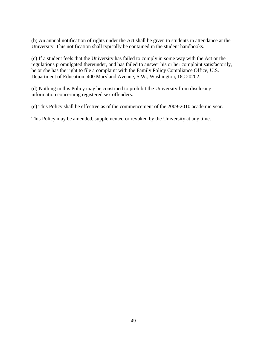(b) An annual notification of rights under the Act shall be given to students in attendance at the University. This notification shall typically be contained in the student handbooks.

(c) If a student feels that the University has failed to comply in some way with the Act or the regulations promulgated thereunder, and has failed to answer his or her complaint satisfactorily, he or she has the right to file a complaint with the Family Policy Compliance Office, U.S. Department of Education, 400 Maryland Avenue, S.W., Washington, DC 20202.

(d) Nothing in this Policy may be construed to prohibit the University from disclosing information concerning registered sex offenders.

(e) This Policy shall be effective as of the commencement of the 2009-2010 academic year.

This Policy may be amended, supplemented or revoked by the University at any time.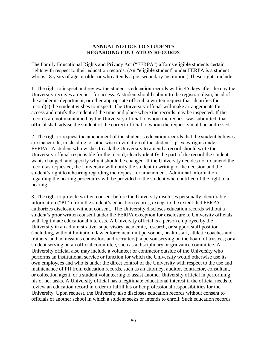#### **ANNUAL NOTICE TO STUDENTS REGARDING EDUCATION RECORDS**

The Family Educational Rights and Privacy Act ("FERPA") affords eligible students certain rights with respect to their education records. (An "eligible student" under FERPA is a student who is 18 years of age or older or who attends a postsecondary institution.) These rights include:

1. The right to inspect and review the student's education records within 45 days after the day the University receives a request for access. A student should submit to the registrar, dean, head of the academic department, or other appropriate official, a written request that identifies the record(s) the student wishes to inspect. The University official will make arrangements for access and notify the student of the time and place where the records may be inspected. If the records are not maintained by the University official to whom the request was submitted, that official shall advise the student of the correct official to whom the request should be addressed.

2. The right to request the amendment of the student's education records that the student believes are inaccurate, misleading, or otherwise in violation of the student's privacy rights under FERPA. A student who wishes to ask the University to amend a record should write the University official responsible for the record, clearly identify the part of the record the student wants changed, and specify why it should be changed. If the University decides not to amend the record as requested, the University will notify the student in writing of the decision and the student's right to a hearing regarding the request for amendment. Additional information regarding the hearing procedures will be provided to the student when notified of the right to a hearing.

3. The right to provide written consent before the University discloses personally identifiable information ("PII") from the student's education records, except to the extent that FERPA authorizes disclosure without consent. The University discloses education records without a student's prior written consent under the FERPA exception for disclosure to University officials with legitimate educational interests. A University official is a person employed by the University in an administrative, supervisory, academic, research, or support staff position (including, without limitation, law enforcement unit personnel, health staff, athletic coaches and trainers, and admissions counselors and recruiters); a person serving on the board of trustees; or a student serving on an official committee, such as a disciplinary or grievance committee. A University official also may include a volunteer or contractor outside of the University who performs an institutional service or function for which the University would otherwise use its own employees and who is under the direct control of the University with respect to the use and maintenance of PII from education records, such as an attorney, auditor, contractor, consultant, or collection agent, or a student volunteering to assist another University official in performing his or her tasks. A University official has a legitimate educational interest if the official needs to review an education record in order to fulfill his or her professional responsibilities for the University. Upon request, the University also discloses education records without consent to officials of another school in which a student seeks or intends to enroll. Such education records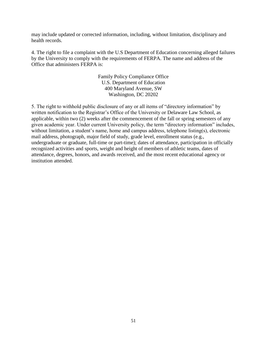may include updated or corrected information, including, without limitation, disciplinary and health records.

4. The right to file a complaint with the U.S Department of Education concerning alleged failures by the University to comply with the requirements of FERPA. The name and address of the Office that administers FERPA is:

> Family Policy Compliance Office U.S. Department of Education 400 Maryland Avenue, SW Washington, DC 20202

5. The right to withhold public disclosure of any or all items of "directory information" by written notification to the Registrar's Office of the University or Delaware Law School, as applicable, within two (2) weeks after the commencement of the fall or spring semesters of any given academic year. Under current University policy, the term "directory information" includes, without limitation, a student's name, home and campus address, telephone listing(s), electronic mail address, photograph, major field of study, grade level, enrollment status (e.g., undergraduate or graduate, full-time or part-time); dates of attendance, participation in officially recognized activities and sports, weight and height of members of athletic teams, dates of attendance, degrees, honors, and awards received, and the most recent educational agency or institution attended.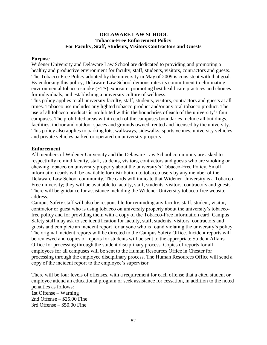## **DELAWARE LAW SCHOOL Tobacco-Free Enforcement Policy For Faculty, Staff, Students, Visitors Contractors and Guests**

#### **Purpose**

Widener University and Delaware Law School are dedicated to providing and promoting a healthy and productive environment for faculty, staff, students, visitors, contractors and guests. The Tobacco-Free Policy adopted by the university in May of 2009 is consistent with that goal. By endorsing this policy, Delaware Law School demonstrates its commitment to eliminating environmental tobacco smoke (ETS) exposure, promoting best healthcare practices and choices for individuals, and establishing a university culture of wellness.

This policy applies to all university faculty, staff, students, visitors, contractors and guests at all times. Tobacco use includes any lighted tobacco product and/or any oral tobacco product. The use of all tobacco products is prohibited within the boundaries of each of the university's four campuses. The prohibited areas within each of the campuses boundaries include all buildings, facilities, indoor and outdoor spaces and grounds owned, rented and licensed by the university. This policy also applies to parking lots, walkways, sidewalks, sports venues, university vehicles and private vehicles parked or operated on university property.

#### **Enforcement**

All members of Widener University and the Delaware Law School community are asked to respectfully remind faculty, staff, students, visitors, contractors and guests who are smoking or chewing tobacco on university property about the university's Tobacco-Free Policy. Small information cards will be available for distribution to tobacco users by any member of the Delaware Law School community. The cards will indicate that Widener University is a Tobacco-Free university; they will be available to faculty, staff, students, visitors, contractors and guests. There will be guidance for assistance including the Widener University tobacco-free website address.

Campus Safety staff will also be responsible for reminding any faculty, staff, student, visitor, contractor or guest who is using tobacco on university property about the university's tobaccofree policy and for providing them with a copy of the Tobacco-Free information card. Campus Safety staff may ask to see identification for faculty, staff, students, visitors, contractors and guests and complete an incident report for anyone who is found violating the university's policy. The original incident reports will be directed to the Campus Safety Office. Incident reports will be reviewed and copies of reports for students will be sent to the appropriate Student Affairs Office for processing through the student disciplinary process. Copies of reports for all employees for all campuses will be sent to the Human Resources Office in Chester for processing through the employee disciplinary process. The Human Resources Office will send a copy of the incident report to the employee's supervisor.

There will be four levels of offenses, with a requirement for each offense that a cited student or employee attend an educational program or seek assistance for cessation, in addition to the noted penalties as follows:

1st Offense – Warning 2nd Offense – \$25.00 Fine 3rd Offense – \$50.00 Fine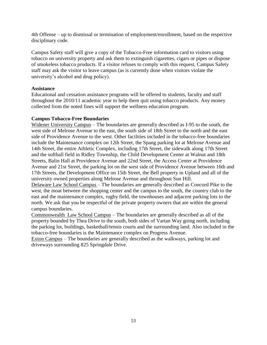4th Offense – up to dismissal or termination of employment/enrollment, based on the respective disciplinary code.

Campus Safety staff will give a copy of the Tobacco-Free information card to visitors using tobacco on university property and ask them to extinguish cigarettes, cigars or pipes or dispose of smokeless tobacco products. If a visitor refuses to comply with this request, Campus Safety staff may ask the visitor to leave campus (as is currently done when visitors violate the university's alcohol and drug policy).

## **Assistance**

Educational and cessation assistance programs will be offered to students, faculty and staff throughout the 2010/11 academic year to help them quit using tobacco products. Any money collected from the noted fines will support the wellness education program.

## **Campus Tobacco-Free Boundaries**

Widener University Campus – The boundaries are generally described as I-95 to the south, the west side of Melrose Avenue to the east, the south side of 18th Street to the north and the east side of Providence Avenue to the west. Other facilities included in the tobacco-free boundaries include the Maintenance complex on 12th Street, the Spang parking lot at Melrose Avenue and 14th Street, the entire Athletic Complex, including 17th Street, the sidewalk along 17th Street and the softball field in Ridley Township, the Child Development Center at Walnut and 18th Streets, Balin Hall at Providence Avenue and 22nd Street, the Access Center at Providence Avenue and 21st Street, the parking lot on the west side of Providence Avenue between 16th and 17th Streets, the Development Office on 15th Street, the Bell property in Upland and all of the university owned properties along Melrose Avenue and throughout Sun Hill.

Delaware Law School Campus – The boundaries are generally described as Concord Pike to the west, the moat between the shopping center and the campus to the south, the country club to the east and the maintenance complex, rugby field, the townhouses and adjacent parking lots to the north. We ask that you be respectful of the private property owners that are within the general campus boundaries.

Commonwealth Law School Campus – The boundaries are generally described as all of the property bounded by Thea Drive to the south, both sides of Vartan Way going north, including the parking lot, buildings, basketball/tennis courts and the surrounding land. Also included in the tobacco-free boundaries is the Maintenance complex on Progress Avenue.

Exton Campus – The boundaries are generally described as the walkways, parking lot and driveways surrounding 825 Springdale Drive.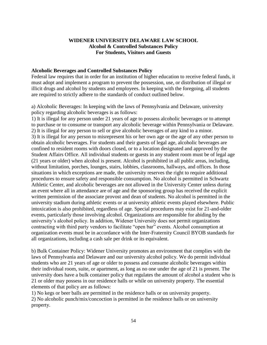## **WIDENER UNIVERSITY DELAWARE LAW SCHOOL Alcohol & Controlled Substances Policy For Students, Visitors and Guests**

#### **Alcoholic Beverages and Controlled Substances Policy**

Federal law requires that in order for an institution of higher education to receive federal funds, it must adopt and implement a program to prevent the possession, use, or distribution of illegal or illicit drugs and alcohol by students and employees. In keeping with the foregoing, all students are required to strictly adhere to the standards of conduct outlined below.

a) Alcoholic Beverages: In keeping with the laws of Pennsylvania and Delaware, university policy regarding alcoholic beverages is as follows:

1) It is illegal for any person under 21 years of age to possess alcoholic beverages or to attempt to purchase or to consume or transport any alcoholic beverage within Pennsylvania or Delaware. 2) It is illegal for any person to sell or give alcoholic beverages of any kind to a minor. 3) It is illegal for any person to misrepresent his or her own age or the age of any other person to obtain alcoholic beverages. For students and their guests of legal age, alcoholic beverages are confined to resident rooms with doors closed, or to a location designated and approved by the Student Affairs Office. All individual students or guests in any student room must be of legal age (21 years or older) when alcohol is present. Alcohol is prohibited in all public areas, including, without limitation, porches, lounges, stairs, lobbies, classrooms, hallways, and offices. In those situations in which exceptions are made, the university reserves the right to require additional procedures to ensure safety and responsible consumption. No alcohol is permitted in Schwartz Athletic Center, and alcoholic beverages are not allowed in the University Center unless during an event where all in attendance are of age and the sponsoring group has received the explicit written permission of the associate provost and dean of students. No alcohol is permitted in the university stadium during athletic events or at university athletic events played elsewhere. Public intoxication is also prohibited, regardless of age. Special procedures may exist for 21-and-older events, particularly those involving alcohol. Organizations are responsible for abiding by the university's alcohol policy. In addition, Widener University does not permit organizations contracting with third party vendors to facilitate "open bar" events. Alcohol consumption at organization events must be in accordance with the Inter-Fraternity Council BYOB standards for all organizations, including a cash sale per drink or its equivalent.

b) Bulk Container Policy: Widener University promotes an environment that complies with the laws of Pennsylvania and Delaware and our university alcohol policy. We do permit individual students who are 21 years of age or older to possess and consume alcoholic beverages within their individual room, suite, or apartment, as long as no one under the age of 21 is present. The university does have a bulk container policy that regulates the amount of alcohol a student who is 21 or older may possess in our residence halls or while on university property. The essential elements of that policy are as follows:

1) No kegs or beer balls are permitted in the residence halls or on university property.

2) No alcoholic punch/mix/concoction is permitted in the residence halls or on university property.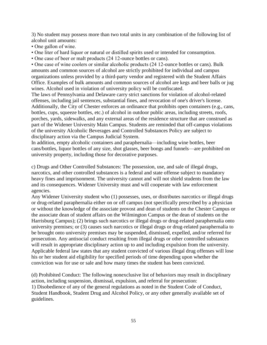3) No student may possess more than two total units in any combination of the following list of alcohol unit amounts:

- One gallon of wine.
- One liter of hard liquor or natural or distilled spirits used or intended for consumption.
- One case of beer or malt products (24 12-ounce bottles or cans).

• One case of wine coolers or similar alcoholic products (24 12-ounce bottles or cans). Bulk amounts and common sources of alcohol are strictly prohibited for individual and campus organizations unless provided by a third-party vendor and registered with the Student Affairs Office. Examples of bulk amounts and common sources of alcohol are kegs and beer balls or jug wines. Alcohol used in violation of university policy will be confiscated.

The laws of Pennsylvania and Delaware carry strict sanctions for violation of alcohol-related offenses, including jail sentences, substantial fines, and revocation of one's driver's license. Additionally, the City of Chester enforces an ordinance that prohibits open containers (e.g., cans, bottles, cups, squeeze bottles, etc.) of alcohol in outdoor public areas, including streets, roofs, porches, yards, sidewalks, and any external areas of the residence structure that are construed as part of the Widener University Main Campus. Students are reminded that off-campus violations of the university Alcoholic Beverages and Controlled Substances Policy are subject to disciplinary action via the Campus Judicial System.

In addition, empty alcoholic containers and paraphernalia—including wine bottles, beer cans/bottles, liquor bottles of any size, shot glasses, beer bongs and funnels—are prohibited on university property, including those for decorative purposes.

c) Drugs and Other Controlled Substances: The possession, use, and sale of illegal drugs, narcotics, and other controlled substances is a federal and state offense subject to mandatory heavy fines and imprisonment. The university cannot and will not shield students from the law and its consequences. Widener University must and will cooperate with law enforcement agencies.

Any Widener University student who (1) possesses, uses, or distributes narcotics or illegal drugs or drug-related paraphernalia either on or off campus (not specifically prescribed by a physician or without the knowledge of the associate provost and dean of students on the Chester Campus or the associate dean of student affairs on the Wilmington Campus or the dean of students on the Harrisburg Campus); (2) brings such narcotics or illegal drugs or drug-related paraphernalia onto university premises; or (3) causes such narcotics or illegal drugs or drug-related paraphernalia to be brought onto university premises may be suspended, dismissed, expelled, and/or referred for prosecution. Any antisocial conduct resulting from illegal drugs or other controlled substances will result in appropriate disciplinary action up to and including expulsion from the university. Applicable federal law states that any student convicted of various illegal drug offenses will lose his or her student aid eligibility for specified periods of time depending upon whether the conviction was for use or sale and how many times the student has been convicted.

(d) Prohibited Conduct: The following nonexclusive list of behaviors may result in disciplinary action, including suspension, dismissal, expulsion, and referral for prosecution: 1) Disobedience of any of the general regulations as noted in the Student Code of Conduct, Student Handbook, Student Drug and Alcohol Policy, or any other generally available set of guidelines.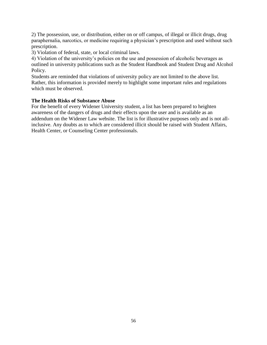2) The possession, use, or distribution, either on or off campus, of illegal or illicit drugs, drug paraphernalia, narcotics, or medicine requiring a physician's prescription and used without such prescription.

3) Violation of federal, state, or local criminal laws.

4) Violation of the university's policies on the use and possession of alcoholic beverages as outlined in university publications such as the Student Handbook and Student Drug and Alcohol Policy.

Students are reminded that violations of university policy are not limited to the above list. Rather, this information is provided merely to highlight some important rules and regulations which must be observed.

## **The Health Risks of Substance Abuse**

For the benefit of every Widener University student, a list has been prepared to heighten awareness of the dangers of drugs and their effects upon the user and is available as an addendum on the Widener Law website. The list is for illustrative purposes only and is not allinclusive. Any doubts as to which are considered illicit should be raised with Student Affairs, Health Center, or Counseling Center professionals.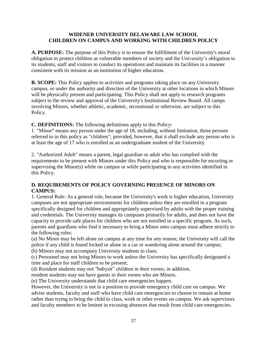## **WIDENER UNIVERSITY DELAWARE LAW SCHOOL CHILDREN ON CAMPUS AND WORKING WITH CHILDREN POLICY**

**A. PURPOSE:** The purpose of this Policy is to ensure the fulfillment of the University's moral obligation to protect children as vulnerable members of society and the University's obligation to its students, staff and visitors to conduct its operations and maintain its facilities in a manner consistent with its mission as an institution of higher education.

**B. SCOPE:** This Policy applies to activities and programs taking place on any University campus, or under the authority and direction of the University at other locations in which Minors will be physically present and participating. This Policy shall not apply to research programs subject to the review and approval of the University's Institutional Review Board. All camps involving Minors, whether athletic, academic, recreational or otherwise, are subject to this Policy.

**C. DEFINITIONS:** The following definitions apply to this Policy:

1. "Minor" means any person under the age of 18, including, without limitation, those persons referred to in this policy as "children"; provided, however, that it shall exclude any person who is at least the age of 17 who is enrolled as an undergraduate student of the University.

2. "Authorized Adult" means a parent, legal guardian or adult who has complied with the requirements to be present with Minors under this Policy and who is responsible for escorting or supervising the Minor(s) while on campus or while participating in any activities identified in this Policy.

## **D. REQUIREMENTS OF POLICY GOVERNING PRESENCE OF MINORS ON CAMPUS:**

1. General Rule: As a general rule, because the University's work is higher education, University campuses are not appropriate environments for children unless they are enrolled in a program specifically designed for children and appropriately supervised by adults with the proper training and credentials. The University manages its campuses primarily for adults, and does not have the capacity to provide safe places for children who are not enrolled in a specific program. As such, parents and guardians who find it necessary to bring a Minor onto campus must adhere strictly to the following rules:

(a) No Minor may be left alone on campus at any time for any reason; the University will call the police if any child is found locked or alone in a car or wandering alone around the campus; (b) Minors may not accompany University students to class;

(c) Personnel may not bring Minors to work unless the University has specifically designated a time and place for staff children to be present;

(d) Resident students may not "babysit" children in their rooms; in addition,

resident students may not have guests in their rooms who are Minors.

(e) The University understands that child care emergencies happen.

However, the University is not in a position to provide emergency child care on campus. We advise students, faculty and staff who have child care emergencies to choose to remain at home rather than trying to bring the child to class, work or other events on campus. We ask supervisors and faculty members to be lenient in excusing absences that result from child care emergencies.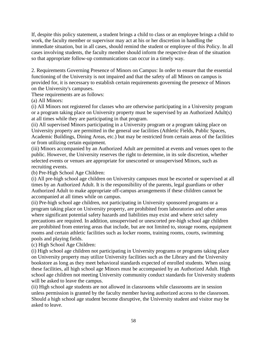If, despite this policy statement, a student brings a child to class or an employee brings a child to work, the faculty member or supervisor may act at his or her discretion in handling the immediate situation, but in all cases, should remind the student or employee of this Policy. In all cases involving students, the faculty member should inform the respective dean of the situation so that appropriate follow-up communications can occur in a timely way.

2. Requirements Governing Presence of Minors on Campus: In order to ensure that the essential functioning of the University is not impaired and that the safety of all Minors on campus is provided for, it is necessary to establish certain requirements governing the presence of Minors on the University's campuses.

These requirements are as follows:

(a) All Minors:

(i) All Minors not registered for classes who are otherwise participating in a University program or a program taking place on University property must be supervised by an Authorized Adult(s) at all times while they are participating in that program.

(ii) All supervised Minors participating in a University program or a program taking place on University property are permitted in the general use facilities (Athletic Fields, Public Spaces, Academic Buildings, Dining Areas, etc.) but may be restricted from certain areas of the facilities or from utilizing certain equipment.

(iii) Minors accompanied by an Authorized Adult are permitted at events and venues open to the public. However, the University reserves the right to determine, in its sole discretion, whether selected events or venues are appropriate for unescorted or unsupervised Minors, such as recruiting events.

(b) Pre-High School Age Children:

(i) All pre-high school age children on University campuses must be escorted or supervised at all times by an Authorized Adult. It is the responsibility of the parents, legal guardians or other Authorized Adult to make appropriate off-campus arrangements if these children cannot be accompanied at all times while on campus.

(ii) Pre-high school age children, not participating in University sponsored programs or a program taking place on University property, are prohibited from laboratories and other areas where significant potential safety hazards and liabilities may exist and where strict safety precautions are required. In addition, unsupervised or unescorted pre-high school age children are prohibited from entering areas that include, but are not limited to, storage rooms, equipment rooms and certain athletic facilities such as locker rooms, training rooms, courts, swimming pools and playing fields.

(c) High School Age Children:

(i) High school age children not participating in University programs or programs taking place on University property may utilize University facilities such as the Library and the University bookstore as long as they meet behavioral standards expected of enrolled students. When using these facilities, all high school age Minors must be accompanied by an Authorized Adult. High school age children not meeting University community conduct standards for University students will be asked to leave the campus.

(ii) High school age students are not allowed in classrooms while classrooms are in session unless permission is granted by the faculty member having authorized access to the classroom. Should a high school age student become disruptive, the University student and visitor may be asked to leave.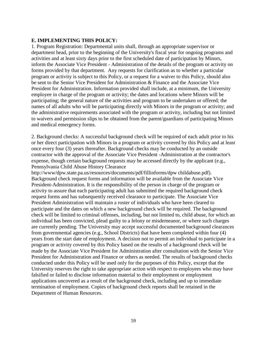#### **E. IMPLEMENTING THIS POLICY:**

1. Program Registration: Departmental units shall, through an appropriate supervisor or department head, prior to the beginning of the University's fiscal year for ongoing programs and activities and at least sixty days prior to the first scheduled date of participation by Minors, inform the Associate Vice President - Administration of the details of the program or activity on forms provided by that department. Any requests for clarification as to whether a particular program or activity is subject to this Policy, or a request for a waiver to this Policy, should also be sent to the Senior Vice President for Administration & Finance and the Associate Vice President for Administration. Information provided shall include, at a minimum, the University employee in charge of the program or activity; the dates and locations where Minors will be participating; the general nature of the activities and program to be undertaken or offered; the names of all adults who will be participating directly with Minors in the program or activity; and the administrative requirements associated with the program or activity, including but not limited to waivers and permission slips to be obtained from the parent/guardians of participating Minors and medical emergency forms.

2. Background checks: A successful background check will be required of each adult prior to his or her direct participation with Minors in a program or activity covered by this Policy and at least once every four (3) years thereafter. Background checks may be conducted by an outside contractor with the approval of the Associate Vice President -Administration at the contractor's expense, though certain background requests may be accessed directly by the applicant (e.g., Pennsylvania Child Abuse History Clearance

http://www/dpw.state.pa.us/resources/documents/pdf/fillinforms/dpw childabuse.pdf). Background check request forms and information will be available from the Associate Vice President-Administration. It is the responsibility of the person in charge of the program or activity to assure that each participating adult has submitted the required background check request forms and has subsequently received clearance to participate. The Associate Vice President Administration will maintain a roster of individuals who have been cleared to participate and the dates on which a new background check will be required. The background check will be limited to criminal offenses, including, but not limited to, child abuse, for which an individual has been convicted, plead guilty to a felony or misdemeanor, or where such charges are currently pending. The University may accept successful documented background clearances from governmental agencies (e.g., School Districts) that have been completed within four (4) years from the start date of employment. A decision not to permit an individual to participate in a program or activity covered by this Policy based on the results of a background check will be made by the Associate Vice President for Administration after consultation with the Senior Vice President for Administration and Finance or others as needed. The results of background checks conducted under this Policy will be used only for the purposes of this Policy, except that the University reserves the right to take appropriate action with respect to employees who may have falsified or failed to disclose information material to their employment or employment applications uncovered as a result of the background check, including and up to immediate termination of employment. Copies of background check reports shall be retained in the Department of Human Resources.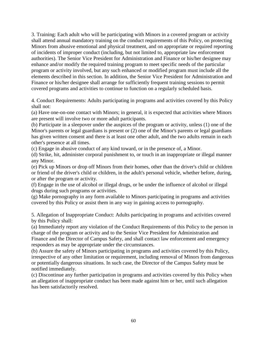3. Training: Each adult who will be participating with Minors in a covered program or activity shall attend annual mandatory training on the conduct requirements of this Policy, on protecting Minors from abusive emotional and physical treatment, and on appropriate or required reporting of incidents of improper conduct (including, but not limited to, appropriate law enforcement authorities). The Senior Vice President for Administration and Finance or his/her designee may enhance and/or modify the required training program to meet specific needs of the particular program or activity involved, but any such enhanced or modified program must include all the elements described in this section. In addition, the Senior Vice President for Administration and Finance or his/her designee shall arrange for sufficiently frequent training sessions to permit covered programs and activities to continue to function on a regularly scheduled basis.

4. Conduct Requirements: Adults participating in programs and activities covered by this Policy shall not:

(a) Have one-on-one contact with Minors; in general, it is expected that activities where Minors are present will involve two or more adult participants.

(b) Participate in a sleepover under the auspices of the program or activity, unless (1) one of the Minor's parents or legal guardians is present or (2) one of the Minor's parents or legal guardians has given written consent and there is at least one other adult, and the two adults remain in each other's presence at all times.

(c) Engage in abusive conduct of any kind toward, or in the presence of, a Minor.

(d) Strike, hit, administer corporal punishment to, or touch in an inappropriate or illegal manner any Minor.

(e) Pick up Minors or drop off Minors from their homes, other than the driver's child or children or friend of the driver's child or children, in the adult's personal vehicle, whether before, during, or after the program or activity.

(f) Engage in the use of alcohol or illegal drugs, or be under the influence of alcohol or illegal drugs during such programs or activities.

(g) Make pornography in any form available to Minors participating in programs and activities covered by this Policy or assist them in any way in gaining access to pornography.

5. Allegation of Inappropriate Conduct: Adults participating in programs and activities covered by this Policy shall:

(a) Immediately report any violation of the Conduct Requirements of this Policy to the person in charge of the program or activity and to the Senior Vice President for Administration and Finance and the Director of Campus Safety, and shall contact law enforcement and emergency responders as may be appropriate under the circumstances.

(b) Assure the safety of Minors participating in programs and activities covered by this Policy, irrespective of any other limitation or requirement, including removal of Minors from dangerous or potentially dangerous situations. In such case, the Director of the Campus Safety must be notified immediately.

(c) Discontinue any further participation in programs and activities covered by this Policy when an allegation of inappropriate conduct has been made against him or her, until such allegation has been satisfactorily resolved.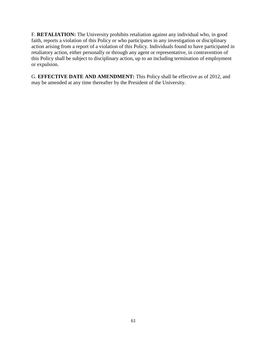F. **RETALIATION:** The University prohibits retaliation against any individual who, in good faith, reports a violation of this Policy or who participates in any investigation or disciplinary action arising from a report of a violation of this Policy. Individuals found to have participated in retaliatory action, either personally or through any agent or representative, in contravention of this Policy shall be subject to disciplinary action, up to an including termination of employment or expulsion.

G. **EFFECTIVE DATE AND AMENDMENT:** This Policy shall be effective as of 2012, and may be amended at any time thereafter by the President of the University.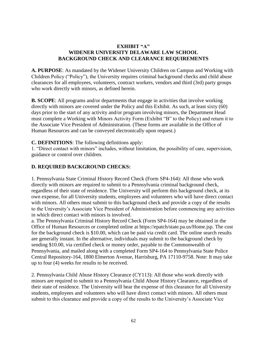## **EXHIBIT "A" WIDENER UNIVERSITY DELAWARE LAW SCHOOL BACKGROUND CHECK AND CLEARANCE REQUIREMENTS**

**A. PURPOSE**: As mandated by the Widener University Children on Campus and Working with Children Policy ("Policy"), the University requires criminal background checks and child abuse clearances for all employees, volunteers, contract workers, vendors and third (3rd) party groups who work directly with minors, as defined herein.

**B. SCOPE**: All programs and/or departments that engage in activities that involve working directly with minors are covered under the Policy and this Exhibit. As such, at least sixty (60) days prior to the start of any activity and/or program involving minors, the Department Head must complete a Working with Minors Activity Form (Exhibit "B" to the Policy) and return it to the Associate Vice President of Administration. (These forms are available in the Office of Human Resources and can be conveyed electronically upon request.)

**C. DEFINITIONS**: The following definitions apply:

1. "Direct contact with minors" includes, without limitation, the possibility of care, supervision, guidance or control over children.

## **D. REQUIRED BACKGROUND CHECKS:**

1. Pennsylvania State Criminal History Record Check (Form SP4-164): All those who work directly with minors are required to submit to a Pennsylvania criminal background check, regardless of their state of residence. The University will perform this background check, at its own expense, for all University students, employees and volunteers who will have direct contact with minors. All others must submit to this background check and provide a copy of the results to the University's Associate Vice President of Administration before commencing any activities in which direct contact with minors is involved.

a. The Pennsylvania Criminal History Record Check (Form SP4-164) may be obtained in the Office of Human Resources or completed online at https://epatch/state.pa.us/Home.jsp. The cost for the background check is \$10.00, which can be paid via credit card. The online search results are generally instant. In the alternative, individuals may submit to the background check by sending \$10.00, via certified check or money order, payable to the Commonwealth of Pennsylvania, and mailed along with a completed Form SP4-164 to Pennsylvania State Police Central Repository-164, 1800 Elmerton Avenue, Harrisburg, PA 17110-9758. Note: It may take up to four (4) weeks for results to be received.

2. Pennsylvania Child Abuse History Clearance (CY113): All those who work directly with minors are required to submit to a Pennsylvania Child Abuse History Clearance, regardless of their state of residence. The University will bear the expense of this clearance for all University students, employees and volunteers who will have direct contact with minors. All others must submit to this clearance and provide a copy of the results to the University's Associate Vice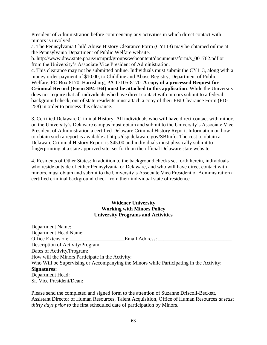President of Administration before commencing any activities in which direct contact with minors is involved.

a. The Pennsylvania Child Abuse History Clearance Form (CY113) may be obtained online at the Pennsylvania Department of Public Welfare website.

b. http://www.dpw.state.pa.us/ucmprd/groups/webcontent/documents/form/s\_001762.pdf or from the University's Associate Vice President of Administration.

c. This clearance may not be submitted online. Individuals must submit the CY113, along with a money order payment of \$10.00, to Childline and Abuse Registry, Department of Public Welfare, PO Box 8170, Harrisburg, PA 17105-8170. **A copy of a processed Request for Criminal Record (Form SP4-164) must be attached to this application**. While the University does not require that all individuals who have direct contact with minors submit to a federal background check, out of state residents must attach a copy of their FBI Clearance Form (FD-

258) in order to process this clearance.

3. Certified Delaware Criminal History: All individuals who will have direct contact with minors on the University's Delaware campus must obtain and submit to the University's Associate Vice President of Administration a certified Delaware Criminal History Report. Information on how to obtain such a report is available at http://dsp.delaware.gov/SBIinfo. The cost to obtain a Delaware Criminal History Report is \$45.00 and individuals must physically submit to fingerprinting at a state approved site, set forth on the official Delaware state website.

4. Residents of Other States: In addition to the background checks set forth herein, individuals who reside outside of either Pennsylvania or Delaware, and who will have direct contact with minors, must obtain and submit to the University's Associate Vice President of Administration a certified criminal background check from their individual state of residence.

## **Widener University Working with Minors Policy University Programs and Activities**

Department Name: Department Head Name: Office Extension: <br> Email Address: Description of Activity/Program: Dates of Activity/Program: How will the Minors Participate in the Activity: Who Will be Supervising or Accompanying the Minors while Participating in the Activity: **Signatures:**  Department Head: Sr. Vice President/Dean:

Please send the completed and signed form to the attention of Suzanne Driscoll-Beckett, Assistant Director of Human Resources, Talent Acquisition, Office of Human Resources *at least thirty days prior to* the first scheduled date of participation by Minors.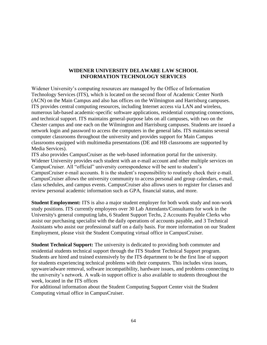## **WIDENER UNIVERSITY DELAWARE LAW SCHOOL INFORMATION TECHNOLOGY SERVICES**

Widener University's computing resources are managed by the Office of Information Technology Services (ITS), which is located on the second floor of Academic Center North (ACN) on the Main Campus and also has offices on the Wilmington and Harrisburg campuses. ITS provides central computing resources, including Internet access via LAN and wireless, numerous lab-based academic-specific software applications, residential computing connections, and technical support. ITS maintains general-purpose labs on all campuses, with two on the Chester campus and one each on the Wilmington and Harrisburg campuses. Students are issued a network login and password to access the computers in the general labs. ITS maintains several computer classrooms throughout the university and provides support for Main Campus classrooms equipped with multimedia presentations (DE and HB classrooms are supported by Media Services).

ITS also provides CampusCruiser as the web-based information portal for the university. Widener University provides each student with an e-mail account and other multiple services on CampusCruiser. All "official" university correspondence will be sent to student's CampusCruiser e-mail accounts. It is the student's responsibility to routinely check their e-mail. CampusCruiser allows the university community to access personal and group calendars, e-mail, class schedules, and campus events. CampusCruiser also allows users to register for classes and review personal academic information such as GPA, financial status, and more.

**Student Employment:** ITS is also a major student employer for both work study and non-work study positions. ITS currently employees over 30 Lab Attendants/Consultants for work in the University's general computing labs, 6 Student Support Techs, 2 Accounts Payable Clerks who assist our purchasing specialist with the daily operations of accounts payable, and 3 Technical Assistants who assist our professional staff on a daily basis. For more information on our Student Employment, please visit the Student Computing virtual office in CampusCruiser.

**Student Technical Support:** The university is dedicated to providing both commuter and residential students technical support through the ITS Student Technical Support program. Students are hired and trained extensively by the ITS department to be the first line of support for students experiencing technical problems with their computers. This includes virus issues, spyware/adware removal, software incompatibility, hardware issues, and problems connecting to the university's network. A walk-in support office is also available to students throughout the week, located in the ITS offices

For additional information about the Student Computing Support Center visit the Student Computing virtual office in CampusCruiser.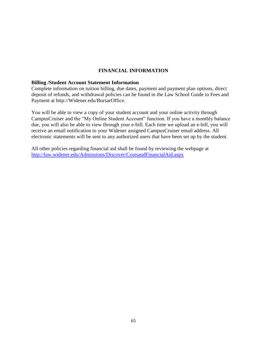## **FINANCIAL INFORMATION**

#### **Billing /Student Account Statement Information**

Complete information on tuition billing, due dates, payment and payment plan options, direct deposit of refunds, and withdrawal policies can be found in the Law School Guide to Fees and Payment at http://Widener.edu/BursarOffice.

You will be able to view a copy of your student account and your online activity through CampusCruiser and the "My Online Student Account" function. If you have a monthly balance due, you will also be able to view through your e-bill. Each time we upload an e-bill, you will receive an email notification to your Widener assigned CampusCruiser email address. All electronic statements will be sent to any authorized users that have been set up by the student.

All other policies regarding financial aid shall be found by reviewing the webpage at <http://law.widener.edu/Admissions/Discover/CostsandFinancialAid.aspx>